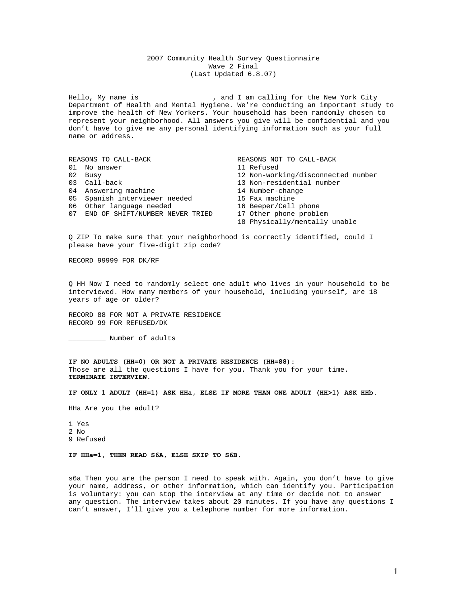# 2007 Community Health Survey Questionnaire Wave 2 Final (Last Updated 6.8.07)

Hello, My name is \_\_\_\_\_\_\_\_\_\_\_\_\_\_\_\_\_, and I am calling for the New York City Department of Health and Mental Hygiene. We're conducting an important study to improve the health of New Yorkers. Your household has been randomly chosen to represent your neighborhood. All answers you give will be confidential and you don't have to give me any personal identifying information such as your full name or address.

| REASONS TO CALL-BACK |                                    | REASONS NOT TO CALL-BACK           |
|----------------------|------------------------------------|------------------------------------|
|                      | 01 No answer                       | 11 Refused                         |
|                      | 02 Busy                            | 12 Non-working/disconnected number |
|                      | 03 Call-back                       | 13 Non-residential number          |
|                      | 04 Answering machine               | 14 Number-change                   |
|                      | 05 Spanish interviewer needed      | 15 Fax machine                     |
|                      | 06 Other language needed           | 16 Beeper/Cell phone               |
|                      | 07 END OF SHIFT/NUMBER NEVER TRIED | 17 Other phone problem             |
|                      |                                    | 18 Physically/mentally unable      |

Q ZIP To make sure that your neighborhood is correctly identified, could I please have your five-digit zip code?

RECORD 99999 FOR DK/RF

Q HH Now I need to randomly select one adult who lives in your household to be interviewed. How many members of your household, including yourself, are 18 years of age or older?

RECORD 88 FOR NOT A PRIVATE RESIDENCE RECORD 99 FOR REFUSED/DK

\_\_\_\_\_\_\_\_\_ Number of adults

**IF NO ADULTS (HH=0) OR NOT A PRIVATE RESIDENCE (HH=88):**  Those are all the questions I have for you. Thank you for your time. **TERMINATE INTERVIEW.** 

**IF ONLY 1 ADULT (HH=1) ASK HHa, ELSE IF MORE THAN ONE ADULT (HH>1) ASK HHb.** 

HHa Are you the adult?

1 Yes 2 No 9 Refused

**IF HHa=1, THEN READ S6A, ELSE SKIP TO S6B.** 

s6a Then you are the person I need to speak with. Again, you don't have to give your name, address, or other information, which can identify you. Participation is voluntary: you can stop the interview at any time or decide not to answer any question. The interview takes about 20 minutes. If you have any questions I can't answer, I'll give you a telephone number for more information.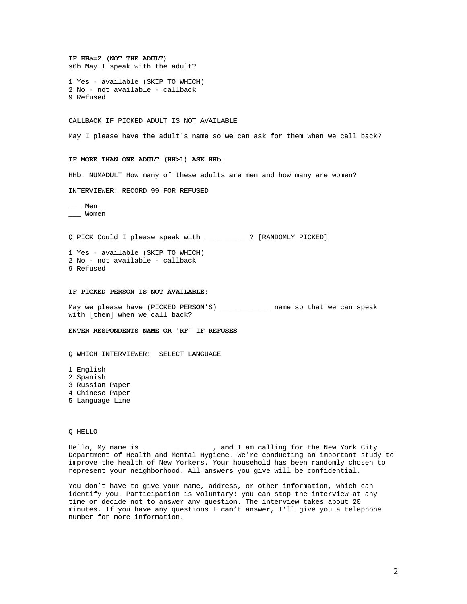# **IF HHa=2 (NOT THE ADULT)**

s6b May I speak with the adult?

1 Yes - available (SKIP TO WHICH) 2 No - not available - callback 9 Refused

#### CALLBACK IF PICKED ADULT IS NOT AVAILABLE

May I please have the adult's name so we can ask for them when we call back?

### **IF MORE THAN ONE ADULT (HH>1) ASK HHb.**

HHb. NUMADULT How many of these adults are men and how many are women?

INTERVIEWER: RECORD 99 FOR REFUSED

\_\_\_ Men \_\_\_ Women

Q PICK Could I please speak with \_\_\_\_\_\_\_\_\_\_\_? [RANDOMLY PICKED]

1 Yes - available (SKIP TO WHICH) 2 No - not available - callback 9 Refused

#### **IF PICKED PERSON IS NOT AVAILABLE:**

May we please have (PICKED PERSON'S) \_\_\_\_\_\_\_\_\_\_\_\_\_ name so that we can speak with [them] when we call back?

**ENTER RESPONDENTS NAME OR 'RF' IF REFUSES** 

Q WHICH INTERVIEWER: SELECT LANGUAGE

- 1 English
- 2 Spanish
- 3 Russian Paper
- 4 Chinese Paper
- 5 Language Line

Q HELLO

Hello, My name is \_\_\_\_\_\_\_\_\_\_\_\_\_\_\_\_\_, and I am calling for the New York City Department of Health and Mental Hygiene. We're conducting an important study to improve the health of New Yorkers. Your household has been randomly chosen to represent your neighborhood. All answers you give will be confidential.

You don't have to give your name, address, or other information, which can identify you. Participation is voluntary: you can stop the interview at any time or decide not to answer any question. The interview takes about 20 minutes. If you have any questions I can't answer, I'll give you a telephone number for more information.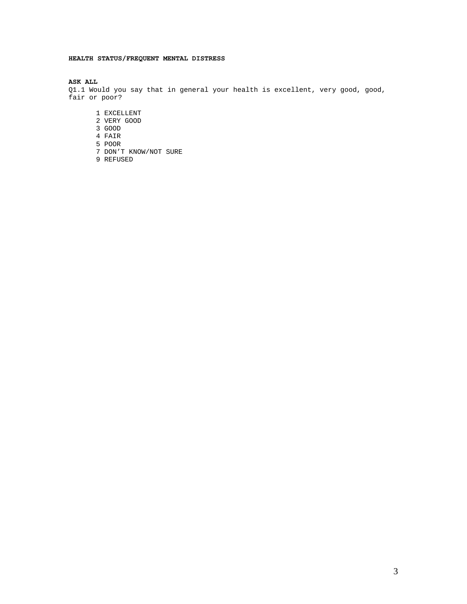# **HEALTH STATUS/FREQUENT MENTAL DISTRESS**

# **ASK ALL**

Q1.1 Would you say that in general your health is excellent, very good, good, fair or poor?

- 1 EXCELLENT
- 2 VERY GOOD
- 3 GOOD
- 4 FAIR
- 5 POOR
- 7 DON'T KNOW/NOT SURE
- 9 REFUSED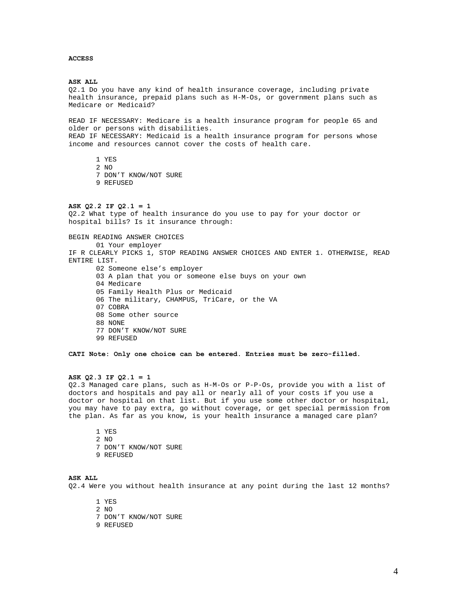## **ACCESS**

**ASK ALL**  Q2.1 Do you have any kind of health insurance coverage, including private health insurance, prepaid plans such as H-M-Os, or government plans such as Medicare or Medicaid? READ IF NECESSARY: Medicare is a health insurance program for people 65 and older or persons with disabilities. READ IF NECESSARY: Medicaid is a health insurance program for persons whose income and resources cannot cover the costs of health care. 1 YES 2 NO 7 DON'T KNOW/NOT SURE 9 REFUSED **ASK Q2.2 IF Q2.1 = 1**  Q2.2 What type of health insurance do you use to pay for your doctor or hospital bills? Is it insurance through:

BEGIN READING ANSWER CHOICES 01 Your employer IF R CLEARLY PICKS 1, STOP READING ANSWER CHOICES AND ENTER 1. OTHERWISE, READ ENTIRE LIST. 02 Someone else's employer 03 A plan that you or someone else buys on your own 04 Medicare 05 Family Health Plus or Medicaid 06 The military, CHAMPUS, TriCare, or the VA 07 COBRA

08 Some other source 88 NONE 77 DON'T KNOW/NOT SURE 99 REFUSED

**CATI Note: Only one choice can be entered. Entries must be zero-filled.** 

# **ASK Q2.3 IF Q2.1 = 1**

Q2.3 Managed care plans, such as H-M-Os or P-P-Os, provide you with a list of doctors and hospitals and pay all or nearly all of your costs if you use a doctor or hospital on that list. But if you use some other doctor or hospital, you may have to pay extra, go without coverage, or get special permission from the plan. As far as you know, is your health insurance a managed care plan?

1 YES 2 NO 7 DON'T KNOW/NOT SURE 9 REFUSED

# **ASK ALL**

Q2.4 Were you without health insurance at any point during the last 12 months?

- 1 YES
- 2 NO
- 7 DON'T KNOW/NOT SURE
- 9 REFUSED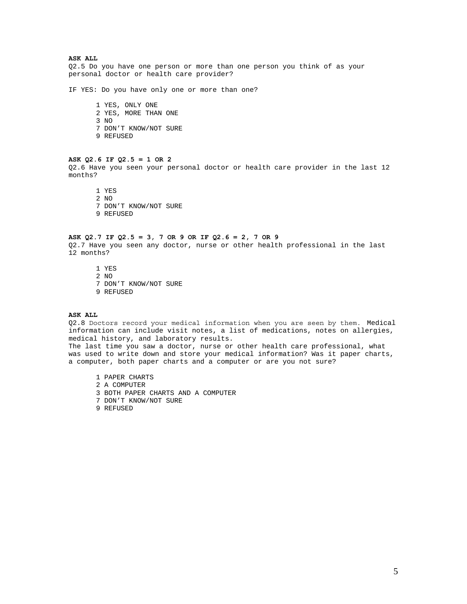**ASK ALL** 

Q2.5 Do you have one person or more than one person you think of as your personal doctor or health care provider?

IF YES: Do you have only one or more than one?

1 YES, ONLY ONE 2 YES, MORE THAN ONE 3 NO 7 DON'T KNOW/NOT SURE 9 REFUSED

## **ASK Q2.6 IF Q2.5 = 1 OR 2**

Q2.6 Have you seen your personal doctor or health care provider in the last 12 months?

1 YES 2 NO 7 DON'T KNOW/NOT SURE 9 REFUSED

#### **ASK Q2.7 IF Q2.5 = 3, 7 OR 9 OR IF Q2.6 = 2, 7 OR 9**

Q2.7 Have you seen any doctor, nurse or other health professional in the last 12 months?

1 YES 2 NO 7 DON'T KNOW/NOT SURE 9 REFUSED

# **ASK ALL**

Q2.8 Doctors record your medical information when you are seen by them. Medical information can include visit notes, a list of medications, notes on allergies, medical history, and laboratory results.

The last time you saw a doctor, nurse or other health care professional, what was used to write down and store your medical information? Was it paper charts, a computer, both paper charts and a computer or are you not sure?

1 PAPER CHARTS 2 A COMPUTER 3 BOTH PAPER CHARTS AND A COMPUTER 7 DON'T KNOW/NOT SURE

9 REFUSED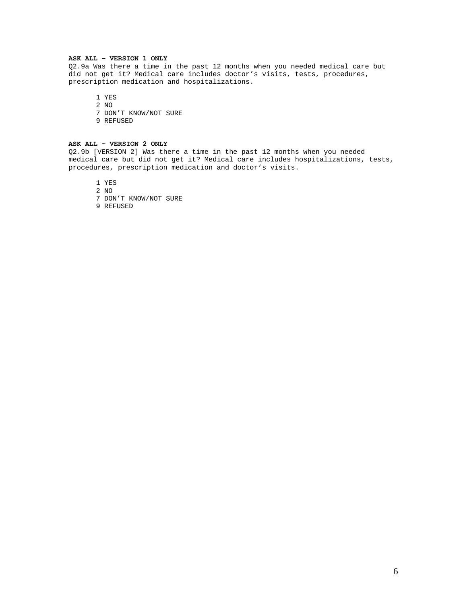### **ASK ALL – VERSION 1 ONLY**

Q2.9a Was there a time in the past 12 months when you needed medical care but did not get it? Medical care includes doctor's visits, tests, procedures, prescription medication and hospitalizations.

1 YES

2 NO 7 DON'T KNOW/NOT SURE 9 REFUSED

# **ASK ALL – VERSION 2 ONLY**

Q2.9b [VERSION 2] Was there a time in the past 12 months when you needed medical care but did not get it? Medical care includes hospitalizations, tests, procedures, prescription medication and doctor's visits.

1 YES

2 NO

7 DON'T KNOW/NOT SURE

9 REFUSED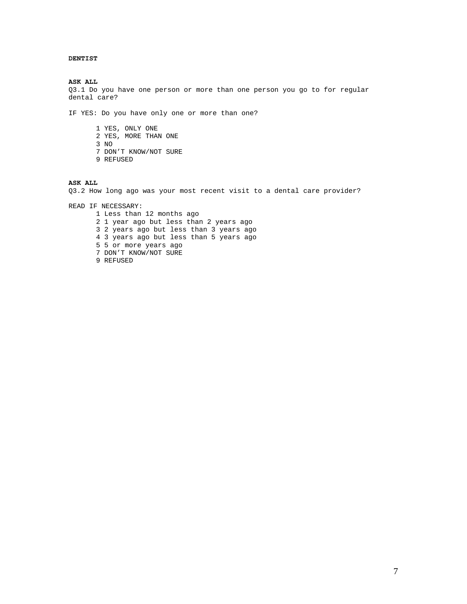# **DENTIST**

**ASK ALL**  Q3.1 Do you have one person or more than one person you go to for regular dental care?

IF YES: Do you have only one or more than one?

1 YES, ONLY ONE 2 YES, MORE THAN ONE 3 NO 7 DON'T KNOW/NOT SURE 9 REFUSED

### **ASK ALL**

Q3.2 How long ago was your most recent visit to a dental care provider?

READ IF NECESSARY: 1 Less than 12 months ago 2 1 year ago but less than 2 years ago 3 2 years ago but less than 3 years ago 4 3 years ago but less than 5 years ago 5 5 or more years ago 7 DON'T KNOW/NOT SURE 9 REFUSED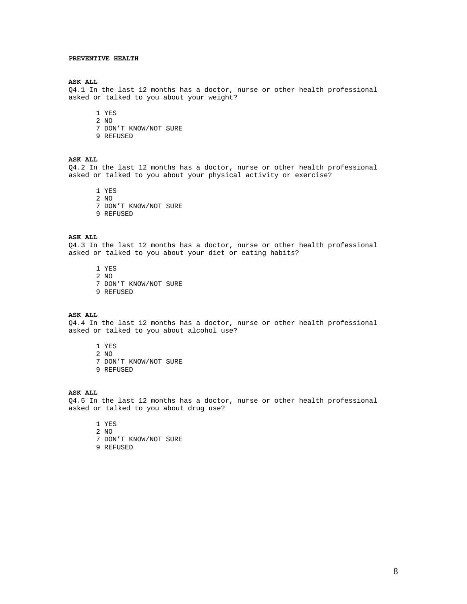### **PREVENTIVE HEALTH**

#### **ASK ALL**

Q4.1 In the last 12 months has a doctor, nurse or other health professional asked or talked to you about your weight?

1 YES

- 2 NO
- 7 DON'T KNOW/NOT SURE
- 9 REFUSED

# **ASK ALL**

Q4.2 In the last 12 months has a doctor, nurse or other health professional asked or talked to you about your physical activity or exercise?

1 YES 2 NO 7 DON'T KNOW/NOT SURE 9 REFUSED

#### **ASK ALL**

Q4.3 In the last 12 months has a doctor, nurse or other health professional asked or talked to you about your diet or eating habits?

1 YES 2 NO 7 DON'T KNOW/NOT SURE 9 REFUSED

### **ASK ALL**

Q4.4 In the last 12 months has a doctor, nurse or other health professional asked or talked to you about alcohol use?

1 YES

2 NO 7 DON'T KNOW/NOT SURE 9 REFUSED

#### **ASK ALL**

Q4.5 In the last 12 months has a doctor, nurse or other health professional asked or talked to you about drug use?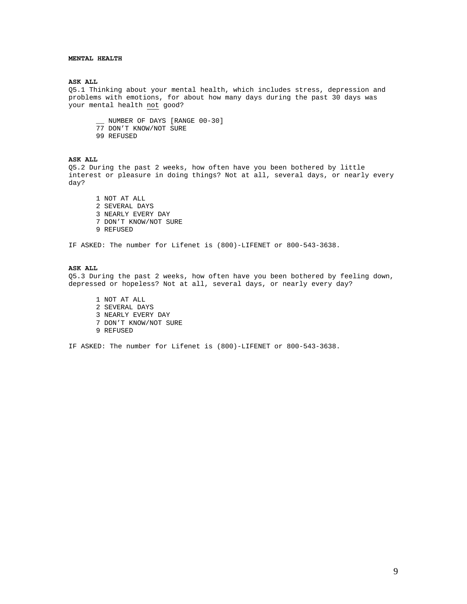## **MENTAL HEALTH**

#### **ASK ALL**

Q5.1 Thinking about your mental health, which includes stress, depression and problems with emotions, for about how many days during the past 30 days was your mental health not good?

\_\_ NUMBER OF DAYS [RANGE 00-30] 77 DON'T KNOW/NOT SURE 99 REFUSED

# **ASK ALL**

Q5.2 During the past 2 weeks, how often have you been bothered by little interest or pleasure in doing things? Not at all, several days, or nearly every day?

1 NOT AT ALL 2 SEVERAL DAYS 3 NEARLY EVERY DAY 7 DON'T KNOW/NOT SURE 9 REFUSED

IF ASKED: The number for Lifenet is (800)-LIFENET or 800-543-3638.

# **ASK ALL**

Q5.3 During the past 2 weeks, how often have you been bothered by feeling down, depressed or hopeless? Not at all, several days, or nearly every day?

1 NOT AT ALL 2 SEVERAL DAYS 3 NEARLY EVERY DAY 7 DON'T KNOW/NOT SURE 9 REFUSED

IF ASKED: The number for Lifenet is (800)-LIFENET or 800-543-3638.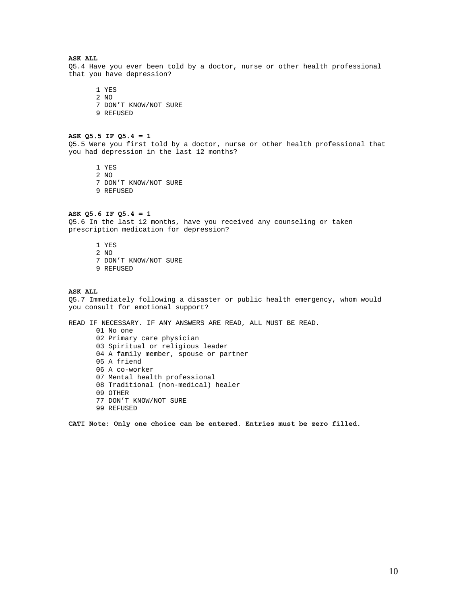# **ASK ALL**

Q5.4 Have you ever been told by a doctor, nurse or other health professional that you have depression?

1 YES 2 NO 7 DON'T KNOW/NOT SURE 9 REFUSED

#### **ASK Q5.5 IF Q5.4 = 1**

Q5.5 Were you first told by a doctor, nurse or other health professional that you had depression in the last 12 months?

1 YES 2 NO 7 DON'T KNOW/NOT SURE 9 REFUSED

# **ASK Q5.6 IF Q5.4 = 1**

Q5.6 In the last 12 months, have you received any counseling or taken prescription medication for depression?

- 1 YES 2 NO
- 7 DON'T KNOW/NOT SURE
- 9 REFUSED

#### **ASK ALL**

Q5.7 Immediately following a disaster or public health emergency, whom would you consult for emotional support?

READ IF NECESSARY. IF ANY ANSWERS ARE READ, ALL MUST BE READ. 01 No one 02 Primary care physician 03 Spiritual or religious leader 04 A family member, spouse or partner 05 A friend 06 A co-worker 07 Mental health professional 08 Traditional (non-medical) healer 09 OTHER 77 DON'T KNOW/NOT SURE 99 REFUSED

**CATI Note: Only one choice can be entered. Entries must be zero filled.**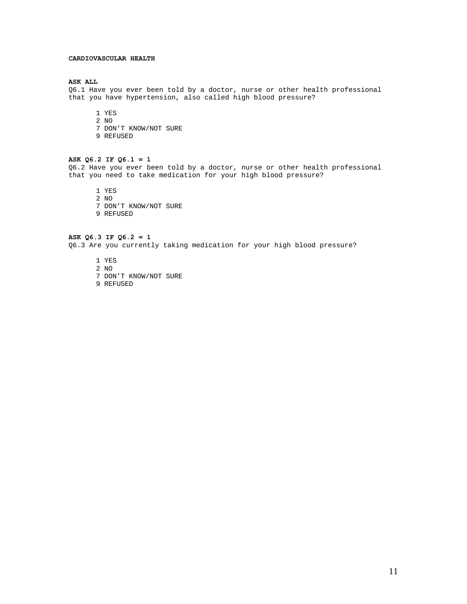### **CARDIOVASCULAR HEALTH**

#### **ASK ALL**

Q6.1 Have you ever been told by a doctor, nurse or other health professional that you have hypertension, also called high blood pressure?

1 YES

- 2 NO
- 7 DON'T KNOW/NOT SURE
- 9 REFUSED

# **ASK Q6.2 IF Q6.1 = 1**

Q6.2 Have you ever been told by a doctor, nurse or other health professional that you need to take medication for your high blood pressure?

1 YES 2 NO 7 DON'T KNOW/NOT SURE 9 REFUSED

**ASK Q6.3 IF Q6.2 = 1**  Q6.3 Are you currently taking medication for your high blood pressure?

- 1 YES
- 2 NO
- 7 DON'T KNOW/NOT SURE
- 9 REFUSED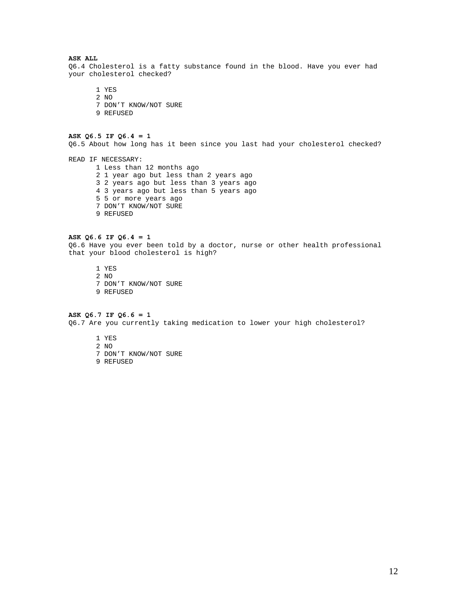## **ASK ALL**

Q6.4 Cholesterol is a fatty substance found in the blood. Have you ever had your cholesterol checked?

1 YES 2 NO 7 DON'T KNOW/NOT SURE 9 REFUSED

# **ASK Q6.5 IF Q6.4 = 1**

Q6.5 About how long has it been since you last had your cholesterol checked?

READ IF NECESSARY: 1 Less than 12 months ago 2 1 year ago but less than 2 years ago 3 2 years ago but less than 3 years ago 4 3 years ago but less than 5 years ago 5 5 or more years ago 7 DON'T KNOW/NOT SURE 9 REFUSED

#### **ASK Q6.6 IF Q6.4 = 1**

Q6.6 Have you ever been told by a doctor, nurse or other health professional that your blood cholesterol is high?

1 YES 2 NO 7 DON'T KNOW/NOT SURE 9 REFUSED

# **ASK Q6.7 IF Q6.6 = 1**

Q6.7 Are you currently taking medication to lower your high cholesterol?

- 1 YES 2 NO
- 7 DON'T KNOW/NOT SURE
- 9 REFUSED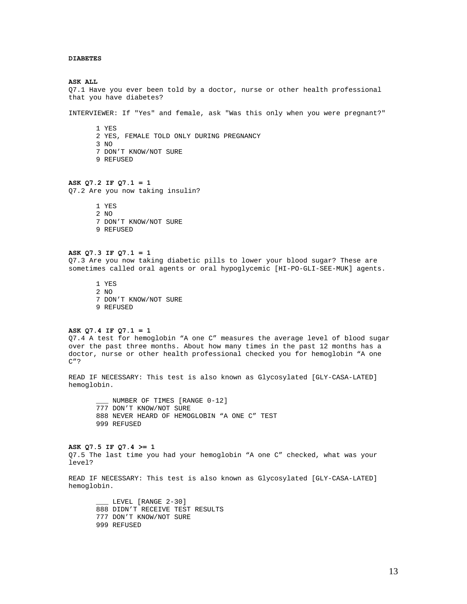## **DIABETES**

**ASK ALL**  Q7.1 Have you ever been told by a doctor, nurse or other health professional that you have diabetes?

INTERVIEWER: If "Yes" and female, ask "Was this only when you were pregnant?"

1 YES 2 YES, FEMALE TOLD ONLY DURING PREGNANCY 3 NO 7 DON'T KNOW/NOT SURE 9 REFUSED

#### **ASK Q7.2 IF Q7.1 = 1**

Q7.2 Are you now taking insulin?

1 YES 2 NO 7 DON'T KNOW/NOT SURE 9 REFUSED

#### **ASK Q7.3 IF Q7.1 = 1**

Q7.3 Are you now taking diabetic pills to lower your blood sugar? These are sometimes called oral agents or oral hypoglycemic [HI-PO-GLI-SEE-MUK] agents.

1 YES 2 NO 7 DON'T KNOW/NOT SURE 9 REFUSED

# **ASK Q7.4 IF Q7.1 = 1**

Q7.4 A test for hemoglobin "A one C" measures the average level of blood sugar over the past three months. About how many times in the past 12 months has a doctor, nurse or other health professional checked you for hemoglobin "A one C"?

READ IF NECESSARY: This test is also known as Glycosylated [GLY-CASA-LATED] hemoglobin.

\_\_\_ NUMBER OF TIMES [RANGE 0-12] 777 DON'T KNOW/NOT SURE 888 NEVER HEARD OF HEMOGLOBIN "A ONE C" TEST 999 REFUSED

### **ASK Q7.5 IF Q7.4 >= 1**

Q7.5 The last time you had your hemoglobin "A one C" checked, what was your level?

READ IF NECESSARY: This test is also known as Glycosylated [GLY-CASA-LATED] hemoglobin.

LEVEL [RANGE 2-30] 888 DIDN'T RECEIVE TEST RESULTS 777 DON'T KNOW/NOT SURE 999 REFUSED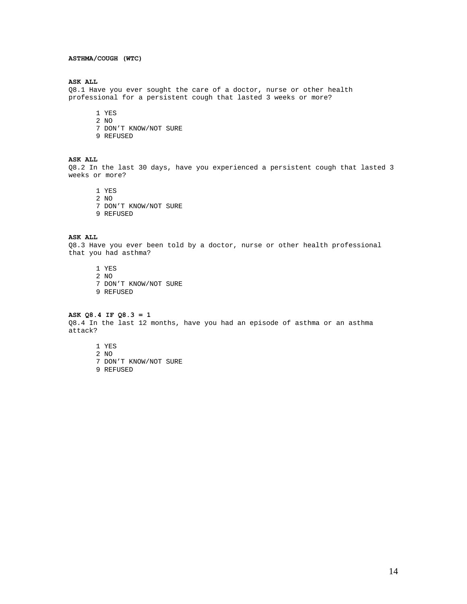# **ASTHMA/COUGH (WTC)**

#### **ASK ALL**

Q8.1 Have you ever sought the care of a doctor, nurse or other health professional for a persistent cough that lasted 3 weeks or more?

- 1 YES
- 2 NO
- 7 DON'T KNOW/NOT SURE
- 9 REFUSED

# **ASK ALL**

Q8.2 In the last 30 days, have you experienced a persistent cough that lasted 3 weeks or more?

1 YES 2 NO 7 DON'T KNOW/NOT SURE 9 REFUSED

#### **ASK ALL**

Q8.3 Have you ever been told by a doctor, nurse or other health professional that you had asthma?

1 YES

- 2 NO 7 DON'T KNOW/NOT SURE
- 9 REFUSED

# **ASK Q8.4 IF Q8.3 = 1**

Q8.4 In the last 12 months, have you had an episode of asthma or an asthma attack?

1 YES

- 2 NO 7 DON'T KNOW/NOT SURE
- 9 REFUSED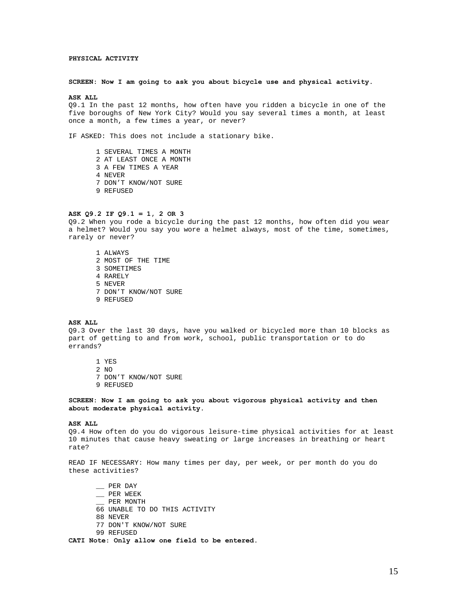### **PHYSICAL ACTIVITY**

#### **SCREEN: Now I am going to ask you about bicycle use and physical activity.**

#### **ASK ALL**

Q9.1 In the past 12 months, how often have you ridden a bicycle in one of the five boroughs of New York City? Would you say several times a month, at least once a month, a few times a year, or never?

IF ASKED: This does not include a stationary bike.

1 SEVERAL TIMES A MONTH 2 AT LEAST ONCE A MONTH 3 A FEW TIMES A YEAR 4 NEVER 7 DON'T KNOW/NOT SURE 9 REFUSED

# **ASK Q9.2 IF Q9.1 = 1, 2 OR 3**

Q9.2 When you rode a bicycle during the past 12 months, how often did you wear a helmet? Would you say you wore a helmet always, most of the time, sometimes, rarely or never?

1 ALWAYS 2 MOST OF THE TIME 3 SOMETIMES 4 RARELY 5 NEVER 7 DON'T KNOW/NOT SURE 9 REFUSED

#### **ASK ALL**

Q9.3 Over the last 30 days, have you walked or bicycled more than 10 blocks as part of getting to and from work, school, public transportation or to do errands?

- 1 YES
- 2 NO
- 7 DON'T KNOW/NOT SURE
- 9 REFUSED

**SCREEN: Now I am going to ask you about vigorous physical activity and then about moderate physical activity.** 

#### **ASK ALL**

Q9.4 How often do you do vigorous leisure-time physical activities for at least 10 minutes that cause heavy sweating or large increases in breathing or heart rate?

READ IF NECESSARY: How many times per day, per week, or per month do you do these activities?

 $\equiv$  PER DAY \_\_ PER WEEK \_\_ PER MONTH 66 UNABLE TO DO THIS ACTIVITY 88 NEVER 77 DON'T KNOW/NOT SURE 99 REFUSED

**CATI Note: Only allow one field to be entered.**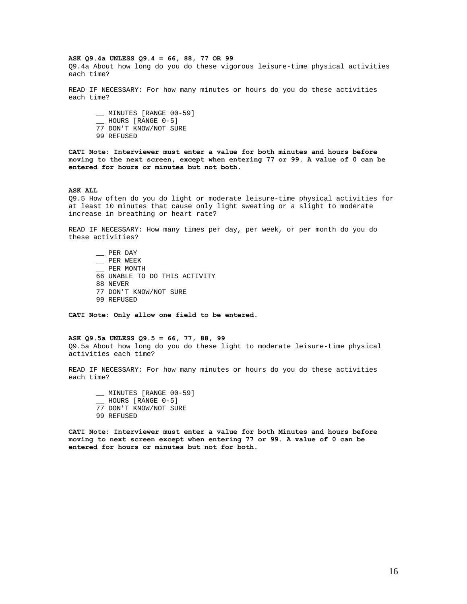#### **ASK Q9.4a UNLESS Q9.4 = 66, 88, 77 OR 99**

Q9.4a About how long do you do these vigorous leisure-time physical activities each time?

READ IF NECESSARY: For how many minutes or hours do you do these activities each time?

\_\_ MINUTES [RANGE 00-59] \_\_ HOURS [RANGE 0-5] 77 DON'T KNOW/NOT SURE 99 REFUSED

**CATI Note: Interviewer must enter a value for both minutes and hours before moving to the next screen, except when entering 77 or 99. A value of 0 can be entered for hours or minutes but not both.** 

#### **ASK ALL**

Q9.5 How often do you do light or moderate leisure-time physical activities for at least 10 minutes that cause only light sweating or a slight to moderate increase in breathing or heart rate?

READ IF NECESSARY: How many times per day, per week, or per month do you do these activities?

\_\_ PER DAY \_\_ PER WEEK \_\_ PER MONTH 66 UNABLE TO DO THIS ACTIVITY 88 NEVER 77 DON'T KNOW/NOT SURE 99 REFUSED

**CATI Note: Only allow one field to be entered.** 

#### **ASK Q9.5a UNLESS Q9.5 = 66, 77, 88, 99**

Q9.5a About how long do you do these light to moderate leisure-time physical activities each time?

READ IF NECESSARY: For how many minutes or hours do you do these activities each time?

\_\_ MINUTES [RANGE 00-59] \_\_ HOURS [RANGE 0-5] 77 DON'T KNOW/NOT SURE 99 REFUSED

**CATI Note: Interviewer must enter a value for both Minutes and hours before moving to next screen except when entering 77 or 99. A value of 0 can be entered for hours or minutes but not for both.**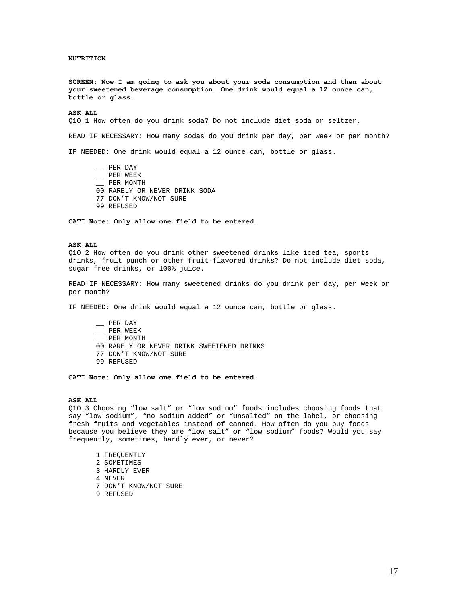### **NUTRITION**

**SCREEN: Now I am going to ask you about your soda consumption and then about your sweetened beverage consumption. One drink would equal a 12 ounce can, bottle or glass.** 

### **ASK ALL**

Q10.1 How often do you drink soda? Do not include diet soda or seltzer.

READ IF NECESSARY: How many sodas do you drink per day, per week or per month?

IF NEEDED: One drink would equal a 12 ounce can, bottle or glass.

\_\_ PER DAY \_\_ PER WEEK \_\_ PER MONTH 00 RARELY OR NEVER DRINK SODA 77 DON'T KNOW/NOT SURE 99 REFUSED

**CATI Note: Only allow one field to be entered.** 

#### **ASK ALL**

Q10.2 How often do you drink other sweetened drinks like iced tea, sports drinks, fruit punch or other fruit-flavored drinks? Do not include diet soda, sugar free drinks, or 100% juice.

READ IF NECESSARY: How many sweetened drinks do you drink per day, per week or per month?

IF NEEDED: One drink would equal a 12 ounce can, bottle or glass.

 $\equiv$  PER DAY \_\_ PER WEEK PER MONTH 00 RARELY OR NEVER DRINK SWEETENED DRINKS 77 DON'T KNOW/NOT SURE 99 REFUSED

**CATI Note: Only allow one field to be entered.** 

#### **ASK ALL**

Q10.3 Choosing "low salt" or "low sodium" foods includes choosing foods that say "low sodium", "no sodium added" or "unsalted" on the label, or choosing fresh fruits and vegetables instead of canned. How often do you buy foods because you believe they are "low salt" or "low sodium" foods? Would you say frequently, sometimes, hardly ever, or never?

1 FREQUENTLY 2 SOMETIMES 3 HARDLY EVER 4 NEVER 7 DON'T KNOW/NOT SURE 9 REFUSED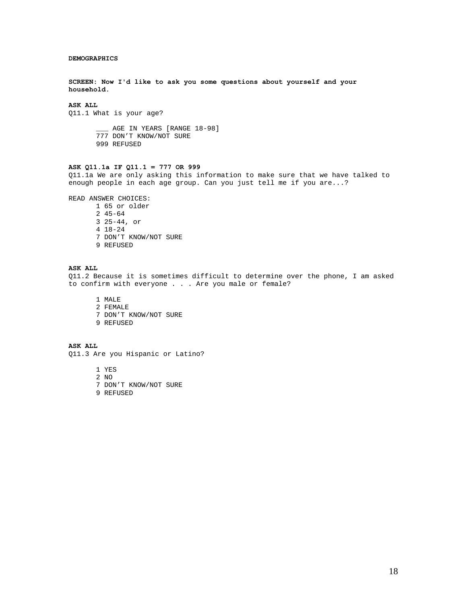### **DEMOGRAPHICS**

**SCREEN: Now I'd like to ask you some questions about yourself and your household.** 

# **ASK ALL**

Q11.1 What is your age?

\_\_\_ AGE IN YEARS [RANGE 18-98] 777 DON'T KNOW/NOT SURE 999 REFUSED

# **ASK Q11.1a IF Q11.1 = 777 OR 999**

Q11.1a We are only asking this information to make sure that we have talked to enough people in each age group. Can you just tell me if you are...?

READ ANSWER CHOICES:

1 65 or older 2 45-64 3 25-44, or 4 18-24 7 DON'T KNOW/NOT SURE 9 REFUSED

# **ASK ALL**

Q11.2 Because it is sometimes difficult to determine over the phone, I am asked to confirm with everyone . . . Are you male or female?

1 MALE 2 FEMALE 7 DON'T KNOW/NOT SURE 9 REFUSED

**ASK ALL** 

Q11.3 Are you Hispanic or Latino?

1 YES

- 2 NO
- 7 DON'T KNOW/NOT SURE
- 9 REFUSED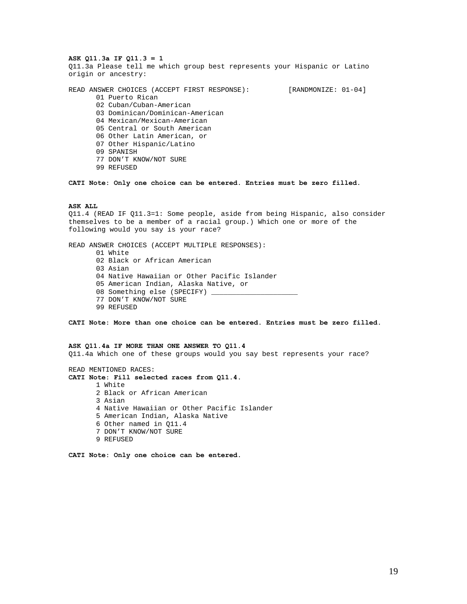### **ASK Q11.3a IF Q11.3 = 1**

Q11.3a Please tell me which group best represents your Hispanic or Latino origin or ancestry:

READ ANSWER CHOICES (ACCEPT FIRST RESPONSE): [RANDMONIZE: 01-04] 01 Puerto Rican 02 Cuban/Cuban-American 03 Dominican/Dominican-American 04 Mexican/Mexican-American 05 Central or South American 06 Other Latin American, or 07 Other Hispanic/Latino 09 SPANISH 77 DON'T KNOW/NOT SURE

99 REFUSED

**CATI Note: Only one choice can be entered. Entries must be zero filled.** 

### **ASK ALL**

Q11.4 (READ IF Q11.3=1: Some people, aside from being Hispanic, also consider themselves to be a member of a racial group.) Which one or more of the following would you say is your race?

READ ANSWER CHOICES (ACCEPT MULTIPLE RESPONSES): 01 White 02 Black or African American 03 Asian 04 Native Hawaiian or Other Pacific Islander 05 American Indian, Alaska Native, or 08 Something else (SPECIFY) 77 DON'T KNOW/NOT SURE 99 REFUSED

**CATI Note: More than one choice can be entered. Entries must be zero filled.** 

### **ASK Q11.4a IF MORE THAN ONE ANSWER TO Q11.4**  Q11.4a Which one of these groups would you say best represents your race?

READ MENTIONED RACES: **CATI Note: Fill selected races from Q11.4.**  1 White 2 Black or African American 3 Asian 4 Native Hawaiian or Other Pacific Islander 5 American Indian, Alaska Native 6 Other named in Q11.4 7 DON'T KNOW/NOT SURE 9 REFUSED

**CATI Note: Only one choice can be entered.**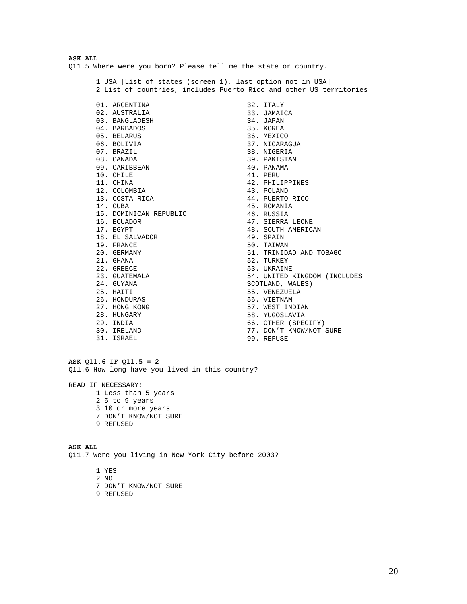# **ASK ALL**  Q11.5 Where were you born? Please tell me the state or country.

1 USA [List of states (screen 1), last option not in USA] 2 List of countries, includes Puerto Rico and other US territories

01. ARGENTINA 02. AUSTRALIA 03. BANGLADESH 04. BARBADOS 05. BELARUS 06. BOLIVIA 07. BRAZIL 08. CANADA 09. CARIBBEAN 10. CHILE 11. CHINA 12. COLOMBIA 13. COSTA RICA 14. CUBA 15. DOMINICAN REPUBLIC 16. ECUADOR 17. EGYPT 18. EL SALVADOR 19. FRANCE 20. GERMANY 21. GHANA 22. GREECE 23. GUATEMALA 24. GUYANA 25. HAITI 26. HONDURAS 27. HONG KONG 28. HUNGARY 29. INDIA 30. IRELAND 31. ISRAEL

32. ITALY 33. JAMAICA 34. JAPAN 35. KOREA 36. MEXICO 37. NICARAGUA 38. NIGERIA 39. PAKISTAN 40. PANAMA 41. PERU 42. PHILIPPINES 43. POLAND 44. PUERTO RICO 45. ROMANIA 46. RUSSIA 47. SIERRA LEONE 48. SOUTH AMERICAN 49. SPAIN 50. TAIWAN 51. TRINIDAD AND TOBAGO 52. TURKEY 53. UKRAINE 54. UNITED KINGDOM (INCLUDES SCOTLAND, WALES) 55. VENEZUELA 56. VIETNAM 57. WEST INDIAN 58. YUGOSLAVIA 66. OTHER (SPECIFY) 77. DON'T KNOW/NOT SURE

99. REFUSE

# **ASK Q11.6 IF Q11.5 = 2**

Q11.6 How long have you lived in this country?

READ IF NECESSARY:

- 1 Less than 5 years
- 2 5 to 9 years
- 3 10 or more years
- 7 DON'T KNOW/NOT SURE
- 9 REFUSED

**ASK ALL**  Q11.7 Were you living in New York City before 2003?

- 1 YES
- 2 NO
- 7 DON'T KNOW/NOT SURE
- 9 REFUSED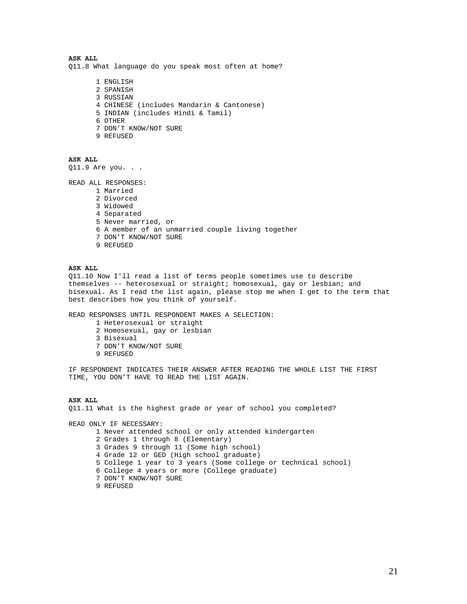**ASK ALL**  Q11.8 What language do you speak most often at home?

> 1 ENGLISH 2 SPANISH 3 RUSSIAN 4 CHINESE (includes Mandarin & Cantonese) 5 INDIAN (includes Hindi & Tamil) 6 OTHER 7 DON'T KNOW/NOT SURE 9 REFUSED

**ASK ALL** 

Q11.9 Are you. . .

READ ALL RESPONSES:

1 Married 2 Divorced 3 Widowed 4 Separated 5 Never married, or 6 A member of an unmarried couple living together 7 DON'T KNOW/NOT SURE 9 REFUSED

# **ASK ALL**

Q11.10 Now I'll read a list of terms people sometimes use to describe themselves -- heterosexual or straight; homosexual, gay or lesbian; and bisexual. As I read the list again, please stop me when I get to the term that best describes how you think of yourself.

READ RESPONSES UNTIL RESPONDENT MAKES A SELECTION:

- 1 Heterosexual or straight
- 2 Homosexual, gay or lesbian
- 3 Bisexual
- 7 DON'T KNOW/NOT SURE
- 9 REFUSED

IF RESPONDENT INDICATES THEIR ANSWER AFTER READING THE WHOLE LIST THE FIRST TIME, YOU DON'T HAVE TO READ THE LIST AGAIN.

#### **ASK ALL**

Q11.11 What is the highest grade or year of school you completed?

READ ONLY IF NECESSARY: 1 Never attended school or only attended kindergarten

2 Grades 1 through 8 (Elementary)

3 Grades 9 through 11 (Some high school)

- 4 Grade 12 or GED (High school graduate)
- 5 College 1 year to 3 years (Some college or technical school)
- 6 College 4 years or more (College graduate)
- 7 DON'T KNOW/NOT SURE

```
9 REFUSED
```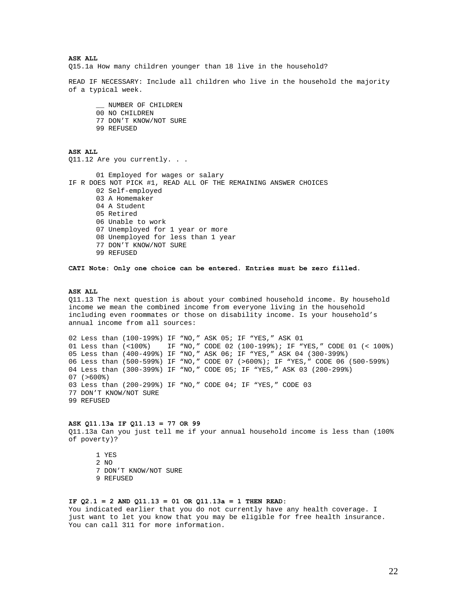**ASK ALL**  Q15.1a How many children younger than 18 live in the household?

READ IF NECESSARY: Include all children who live in the household the majority of a typical week.

\_\_ NUMBER OF CHILDREN 00 NO CHILDREN 77 DON'T KNOW/NOT SURE 99 REFUSED

**ASK ALL**  Q11.12 Are you currently. . .

01 Employed for wages or salary IF R DOES NOT PICK #1, READ ALL OF THE REMAINING ANSWER CHOICES 02 Self-employed 03 A Homemaker 04 A Student 05 Retired 06 Unable to work 07 Unemployed for 1 year or more 08 Unemployed for less than 1 year 77 DON'T KNOW/NOT SURE 99 REFUSED

**CATI Note: Only one choice can be entered. Entries must be zero filled.** 

#### **ASK ALL**

Q11.13 The next question is about your combined household income. By household income we mean the combined income from everyone living in the household including even roommates or those on disability income. Is your household's annual income from all sources:

02 Less than (100-199%) IF "NO," ASK 05; IF "YES," ASK 01 01 Less than (<100%) IF "NO," CODE 02 (100-199%); IF "YES," CODE 01 (< 100%) 05 Less than (400-499%) IF "NO," ASK 06; IF "YES," ASK 04 (300-399%) 06 Less than (500-599%) IF "NO," CODE 07 (>600%); IF "YES," CODE 06 (500-599%) 04 Less than (300-399%) IF "NO," CODE 05; IF "YES," ASK 03 (200-299%)  $07 (>600$ %) 03 Less than (200-299%) IF "NO," CODE 04; IF "YES," CODE 03 77 DON'T KNOW/NOT SURE 99 REFUSED

# **ASK Q11.13a IF Q11.13 = 77 OR 99**

Q11.13a Can you just tell me if your annual household income is less than (100% of poverty)?

1 YES 2 NO 7 DON'T KNOW/NOT SURE 9 REFUSED

## **IF Q2.1 = 2 AND Q11.13 = 01 OR Q11.13a = 1 THEN READ:**

You indicated earlier that you do not currently have any health coverage. I just want to let you know that you may be eligible for free health insurance. You can call 311 for more information.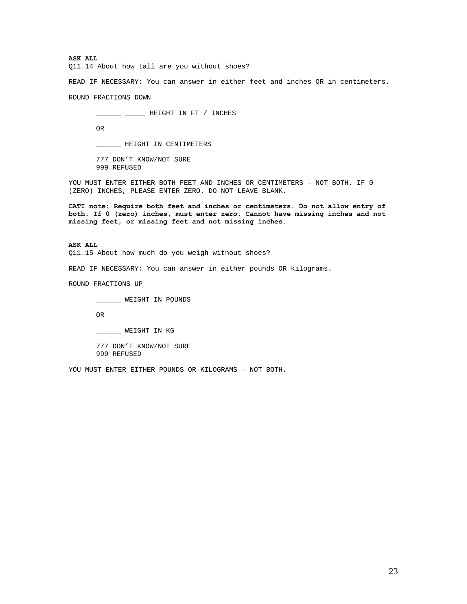**ASK ALL** 

Q11.14 About how tall are you without shoes?

READ IF NECESSARY: You can answer in either feet and inches OR in centimeters.

ROUND FRACTIONS DOWN

\_\_\_\_\_\_ \_\_\_\_\_ HEIGHT IN FT / INCHES

OR

\_\_\_\_\_\_ HEIGHT IN CENTIMETERS

777 DON'T KNOW/NOT SURE 999 REFUSED

YOU MUST ENTER EITHER BOTH FEET AND INCHES OR CENTIMETERS – NOT BOTH. IF 0 (ZERO) INCHES, PLEASE ENTER ZERO. DO NOT LEAVE BLANK.

**CATI note: Require both feet and inches or centimeters. Do not allow entry of both. If 0 (zero) inches, must enter zero. Cannot have missing inches and not missing feet, or missing feet and not missing inches.** 

**ASK ALL**  Q11.15 About how much do you weigh without shoes?

READ IF NECESSARY: You can answer in either pounds OR kilograms.

ROUND FRACTIONS UP

\_\_\_\_\_\_ WEIGHT IN POUNDS

OR

\_\_\_\_\_\_ WEIGHT IN KG

777 DON'T KNOW/NOT SURE 999 REFUSED

YOU MUST ENTER EITHER POUNDS OR KILOGRAMS – NOT BOTH.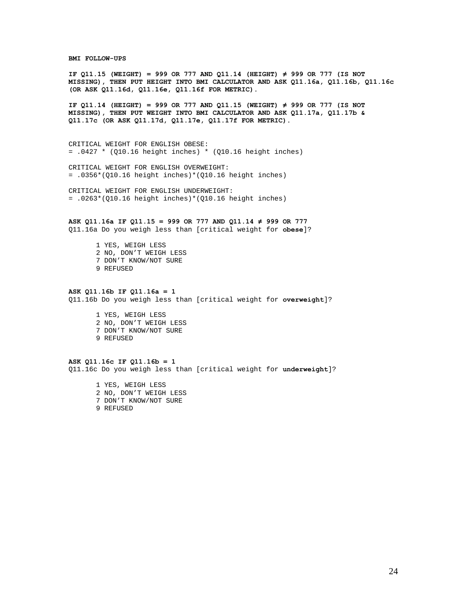#### **BMI FOLLOW-UPS**

**IF Q11.15 (WEIGHT) = 999 OR 777 AND Q11.14 (HEIGHT) ≠ 999 OR 777 (IS NOT MISSING), THEN PUT HEIGHT INTO BMI CALCULATOR AND ASK Q11.16a, Q11.16b, Q11.16c (OR ASK Q11.16d, Q11.16e, Q11.16f FOR METRIC).** 

**IF Q11.14 (HEIGHT) = 999 OR 777 AND Q11.15 (WEIGHT) ≠ 999 OR 777 (IS NOT MISSING), THEN PUT WEIGHT INTO BMI CALCULATOR AND ASK Q11.17a, Q11.17b & Q11.17c (OR ASK Q11.17d, Q11.17e, Q11.17f FOR METRIC).** 

CRITICAL WEIGHT FOR ENGLISH OBESE:  $= .0427 * (Q10.16 \text{ height inches}) * (Q10.16 \text{ height inches})$ 

CRITICAL WEIGHT FOR ENGLISH OVERWEIGHT:  $= .0356*(010.16 \text{ height inches})*(010.16 \text{ height inches})$ 

CRITICAL WEIGHT FOR ENGLISH UNDERWEIGHT:  $= .0263*(010.16 \text{ height inches})*(010.16 \text{ height inches})$ 

**ASK Q11.16a IF Q11.15 = 999 OR 777 AND Q11.14 ≠ 999 OR 777**  Q11.16a Do you weigh less than [critical weight for **obese**]?

> 1 YES, WEIGH LESS 2 NO, DON'T WEIGH LESS 7 DON'T KNOW/NOT SURE 9 REFUSED

#### **ASK Q11.16b IF Q11.16a = 1**

Q11.16b Do you weigh less than [critical weight for **overweight**]?

1 YES, WEIGH LESS 2 NO, DON'T WEIGH LESS 7 DON'T KNOW/NOT SURE 9 REFUSED

**ASK Q11.16c IF Q11.16b = 1**  Q11.16c Do you weigh less than [critical weight for **underweight**]?

> 1 YES, WEIGH LESS 2 NO, DON'T WEIGH LESS 7 DON'T KNOW/NOT SURE 9 REFUSED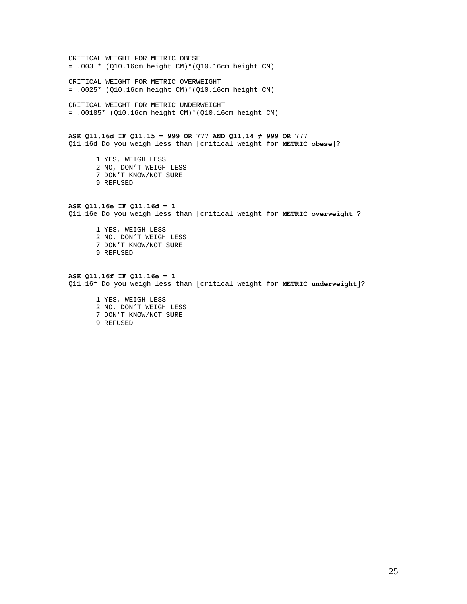CRITICAL WEIGHT FOR METRIC OBESE = .003 \* (Q10.16cm height CM)\*(Q10.16cm height CM)

CRITICAL WEIGHT FOR METRIC OVERWEIGHT = .0025\* (Q10.16cm height CM)\*(Q10.16cm height CM)

CRITICAL WEIGHT FOR METRIC UNDERWEIGHT = .00185\* (Q10.16cm height CM)\*(Q10.16cm height CM)

# **ASK Q11.16d IF Q11.15 = 999 OR 777 AND Q11.14 ≠ 999 OR 777**

Q11.16d Do you weigh less than [critical weight for **METRIC obese**]?

1 YES, WEIGH LESS 2 NO, DON'T WEIGH LESS 7 DON'T KNOW/NOT SURE 9 REFUSED

# **ASK Q11.16e IF Q11.16d = 1**  Q11.16e Do you weigh less than [critical weight for **METRIC overweight**]?

1 YES, WEIGH LESS 2 NO, DON'T WEIGH LESS 7 DON'T KNOW/NOT SURE 9 REFUSED

#### **ASK Q11.16f IF Q11.16e = 1**

Q11.16f Do you weigh less than [critical weight for **METRIC underweight**]?

1 YES, WEIGH LESS 2 NO, DON'T WEIGH LESS 7 DON'T KNOW/NOT SURE 9 REFUSED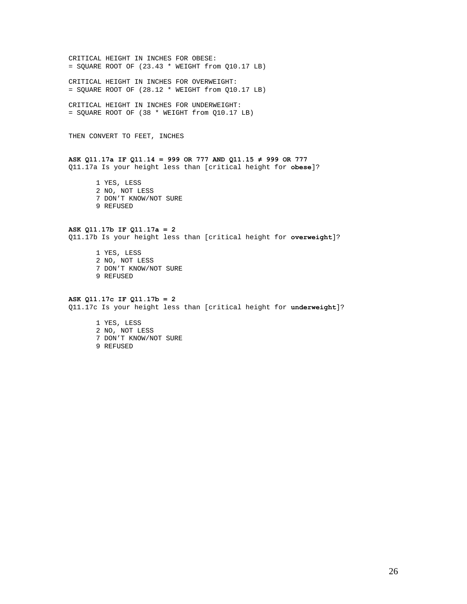CRITICAL HEIGHT IN INCHES FOR OBESE:  $=$  SQUARE ROOT OF (23.43  $*$  WEIGHT from Q10.17 LB)

CRITICAL HEIGHT IN INCHES FOR OVERWEIGHT:  $=$  SQUARE ROOT OF (28.12  $*$  WEIGHT from Q10.17 LB)

CRITICAL HEIGHT IN INCHES FOR UNDERWEIGHT: = SQUARE ROOT OF (38 \* WEIGHT from Q10.17 LB)

THEN CONVERT TO FEET, INCHES

# **ASK Q11.17a IF Q11.14 = 999 OR 777 AND Q11.15 ≠ 999 OR 777**  Q11.17a Is your height less than [critical height for **obese**]?

1 YES, LESS 2 NO, NOT LESS 7 DON'T KNOW/NOT SURE 9 REFUSED

# **ASK Q11.17b IF Q11.17a = 2**

Q11.17b Is your height less than [critical height for **overweight**]?

1 YES, LESS 2 NO, NOT LESS 7 DON'T KNOW/NOT SURE 9 REFUSED

# **ASK Q11.17c IF Q11.17b = 2**

Q11.17c Is your height less than [critical height for **underweight**]?

1 YES, LESS 2 NO, NOT LESS 7 DON'T KNOW/NOT SURE 9 REFUSED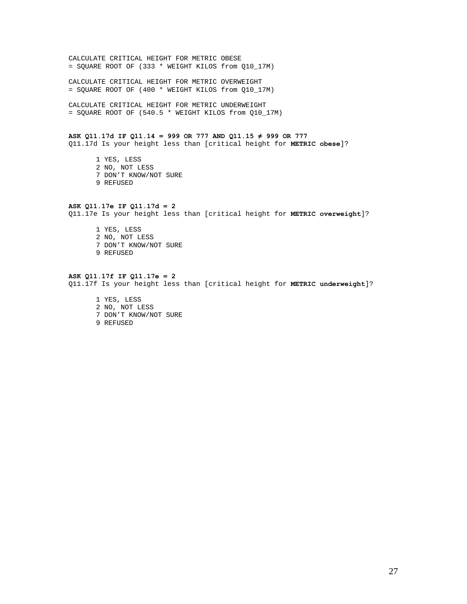CALCULATE CRITICAL HEIGHT FOR METRIC OBESE = SQUARE ROOT OF (333 \* WEIGHT KILOS from Q10\_17M)

CALCULATE CRITICAL HEIGHT FOR METRIC OVERWEIGHT = SQUARE ROOT OF (400 \* WEIGHT KILOS from Q10\_17M)

CALCULATE CRITICAL HEIGHT FOR METRIC UNDERWEIGHT = SQUARE ROOT OF (540.5 \* WEIGHT KILOS from Q10\_17M)

**ASK Q11.17d IF Q11.14 = 999 OR 777 AND Q11.15 ≠ 999 OR 777**  Q11.17d Is your height less than [critical height for **METRIC obese**]?

1 YES, LESS 2 NO, NOT LESS 7 DON'T KNOW/NOT SURE 9 REFUSED

**ASK Q11.17e IF Q11.17d = 2**  Q11.17e Is your height less than [critical height for **METRIC overweight**]?

1 YES, LESS 2 NO, NOT LESS 7 DON'T KNOW/NOT SURE 9 REFUSED

#### **ASK Q11.17f IF Q11.17e = 2**

Q11.17f Is your height less than [critical height for **METRIC underweight**]?

1 YES, LESS 2 NO, NOT LESS 7 DON'T KNOW/NOT SURE 9 REFUSED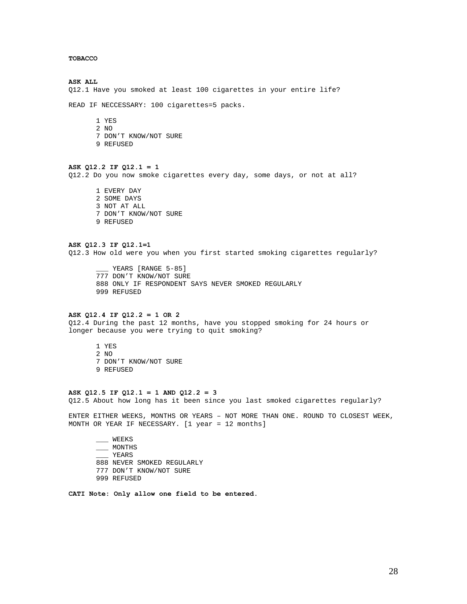# **TOBACCO**

**ASK ALL**  Q12.1 Have you smoked at least 100 cigarettes in your entire life?

READ IF NECCESSARY: 100 cigarettes=5 packs.

- 1 YES
- 2 NO
- 7 DON'T KNOW/NOT SURE
- 9 REFUSED

# **ASK Q12.2 IF Q12.1 = 1**

Q12.2 Do you now smoke cigarettes every day, some days, or not at all?

1 EVERY DAY 2 SOME DAYS 3 NOT AT ALL 7 DON'T KNOW/NOT SURE 9 REFUSED

**ASK Q12.3 IF Q12.1=1**  Q12.3 How old were you when you first started smoking cigarettes regularly?

YEARS [RANGE 5-85] 777 DON'T KNOW/NOT SURE 888 ONLY IF RESPONDENT SAYS NEVER SMOKED REGULARLY 999 REFUSED

# **ASK Q12.4 IF Q12.2 = 1 OR 2**

Q12.4 During the past 12 months, have you stopped smoking for 24 hours or longer because you were trying to quit smoking?

1 YES 2 NO 7 DON'T KNOW/NOT SURE 9 REFUSED

#### **ASK Q12.5 IF Q12.1 = 1 AND Q12.2 = 3**

Q12.5 About how long has it been since you last smoked cigarettes regularly?

ENTER EITHER WEEKS, MONTHS OR YEARS – NOT MORE THAN ONE. ROUND TO CLOSEST WEEK, MONTH OR YEAR IF NECESSARY. [1 year = 12 months]

\_\_\_ WEEKS \_\_\_ MONTHS \_\_\_ YEARS 888 NEVER SMOKED REGULARLY 777 DON'T KNOW/NOT SURE 999 REFUSED

**CATI Note: Only allow one field to be entered.**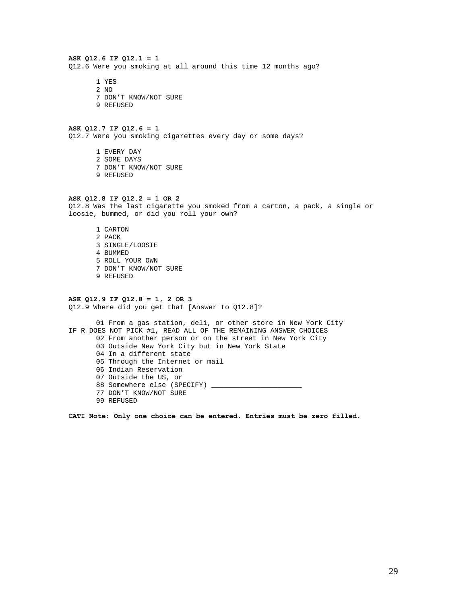## **ASK Q12.6 IF Q12.1 = 1**  Q12.6 Were you smoking at all around this time 12 months ago?

1 YES

- 2 NO
- 7 DON'T KNOW/NOT SURE
- 9 REFUSED

## **ASK Q12.7 IF Q12.6 = 1**

Q12.7 Were you smoking cigarettes every day or some days?

1 EVERY DAY 2 SOME DAYS 7 DON'T KNOW/NOT SURE 9 REFUSED

# **ASK Q12.8 IF Q12.2 = 1 OR 2**

Q12.8 Was the last cigarette you smoked from a carton, a pack, a single or loosie, bummed, or did you roll your own?

1 CARTON 2 PACK 3 SINGLE/LOOSIE 4 BUMMED 5 ROLL YOUR OWN 7 DON'T KNOW/NOT SURE 9 REFUSED

#### **ASK Q12.9 IF Q12.8 = 1, 2 OR 3**

Q12.9 Where did you get that [Answer to Q12.8]?

01 From a gas station, deli, or other store in New York City IF R DOES NOT PICK #1, READ ALL OF THE REMAINING ANSWER CHOICES 02 From another person or on the street in New York City 03 Outside New York City but in New York State 04 In a different state 05 Through the Internet or mail 06 Indian Reservation 07 Outside the US, or 88 Somewhere else (SPECIFY) \_ 77 DON'T KNOW/NOT SURE 99 REFUSED

**CATI Note: Only one choice can be entered. Entries must be zero filled.**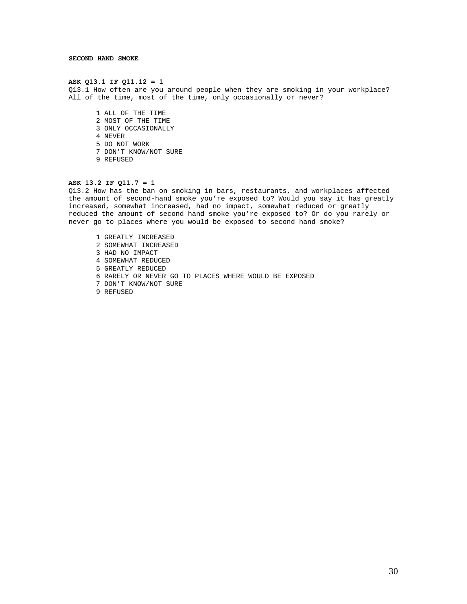#### **ASK Q13.1 IF Q11.12 = 1**

Q13.1 How often are you around people when they are smoking in your workplace? All of the time, most of the time, only occasionally or never?

1 ALL OF THE TIME 2 MOST OF THE TIME 3 ONLY OCCASIONALLY 4 NEVER 5 DO NOT WORK 7 DON'T KNOW/NOT SURE 9 REFUSED

#### **ASK 13.2 IF Q11.7 = 1**

Q13.2 How has the ban on smoking in bars, restaurants, and workplaces affected the amount of second-hand smoke you're exposed to? Would you say it has greatly increased, somewhat increased, had no impact, somewhat reduced or greatly reduced the amount of second hand smoke you're exposed to? Or do you rarely or never go to places where you would be exposed to second hand smoke?

1 GREATLY INCREASED 2 SOMEWHAT INCREASED 3 HAD NO IMPACT 4 SOMEWHAT REDUCED 5 GREATLY REDUCED 6 RARELY OR NEVER GO TO PLACES WHERE WOULD BE EXPOSED 7 DON'T KNOW/NOT SURE 9 REFUSED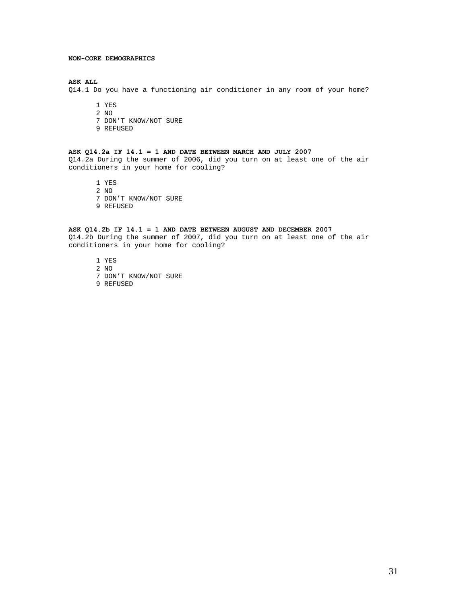### **NON-CORE DEMOGRAPHICS**

### **ASK ALL**

Q14.1 Do you have a functioning air conditioner in any room of your home?

- 1 YES 2 NO
- 7 DON'T KNOW/NOT SURE
- 9 REFUSED

# **ASK Q14.2a IF 14.1 = 1 AND DATE BETWEEN MARCH AND JULY 2007**

Q14.2a During the summer of 2006, did you turn on at least one of the air conditioners in your home for cooling?

1 YES

- 2 NO
- 7 DON'T KNOW/NOT SURE
- 9 REFUSED

### **ASK Q14.2b IF 14.1 = 1 AND DATE BETWEEN AUGUST AND DECEMBER 2007**

Q14.2b During the summer of 2007, did you turn on at least one of the air conditioners in your home for cooling?

- 1 YES
- 2 NO
- 7 DON'T KNOW/NOT SURE
- 9 REFUSED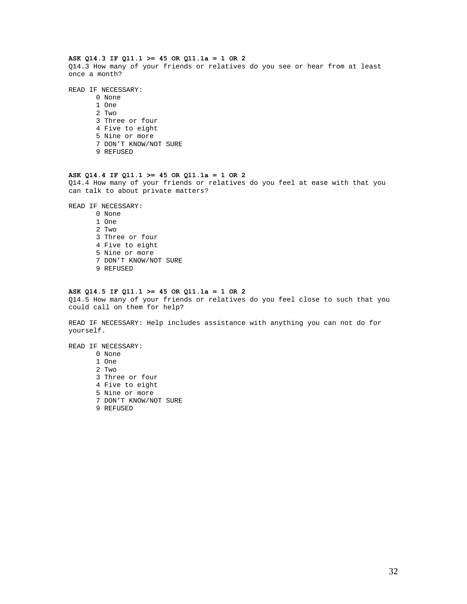### **ASK Q14.3 IF Q11.1 >= 45 OR Q11.1a = 1 OR 2**

Q14.3 How many of your friends or relatives do you see or hear from at least once a month?

### READ IF NECESSARY:

0 None 1 One 2 Two 3 Three or four 4 Five to eight 5 Nine or more 7 DON'T KNOW/NOT SURE 9 REFUSED

#### **ASK Q14.4 IF Q11.1 >= 45 OR Q11.1a = 1 OR 2**

Q14.4 How many of your friends or relatives do you feel at ease with that you can talk to about private matters?

READ IF NECESSARY:

- 0 None 1 One 2 Two 3 Three or four 4 Five to eight 5 Nine or more 7 DON'T KNOW/NOT SURE 9 REFUSED
- 

#### **ASK Q14.5 IF Q11.1 >= 45 OR Q11.1a = 1 OR 2**

Q14.5 How many of your friends or relatives do you feel close to such that you could call on them for help?

READ IF NECESSARY: Help includes assistance with anything you can not do for yourself.

READ IF NECESSARY:

0 None 1 One 2 Two 3 Three or four 4 Five to eight 5 Nine or more 7 DON'T KNOW/NOT SURE 9 REFUSED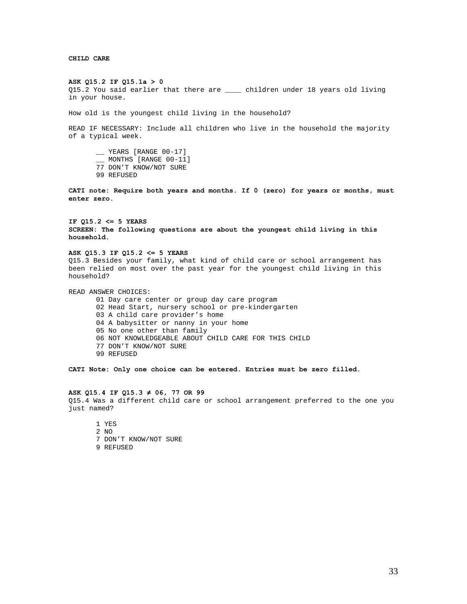**CHILD CARE** 

#### **ASK Q15.2 IF Q15.1a > 0**

Q15.2 You said earlier that there are \_\_\_\_ children under 18 years old living in your house.

How old is the youngest child living in the household?

READ IF NECESSARY: Include all children who live in the household the majority of a typical week.

\_\_ YEARS [RANGE 00-17] \_\_ MONTHS [RANGE 00-11] 77 DON'T KNOW/NOT SURE

99 REFUSED

**CATI note: Require both years and months. If 0 (zero) for years or months, must enter zero.** 

# **IF Q15.2 <= 5 YEARS SCREEN: The following questions are about the youngest child living in this household.**

#### **ASK Q15.3 IF Q15.2 <= 5 YEARS**

Q15.3 Besides your family, what kind of child care or school arrangement has been relied on most over the past year for the youngest child living in this household?

READ ANSWER CHOICES:

- 01 Day care center or group day care program 02 Head Start, nursery school or pre-kindergarten 03 A child care provider's home
- 04 A babysitter or nanny in your home
- 05 No one other than family
- 06 NOT KNOWLEDGEABLE ABOUT CHILD CARE FOR THIS CHILD
- 77 DON'T KNOW/NOT SURE
- 99 REFUSED

**CATI Note: Only one choice can be entered. Entries must be zero filled.** 

#### **ASK Q15.4 IF Q15.3 ≠ 06, 77 OR 99**

Q15.4 Was a different child care or school arrangement preferred to the one you just named?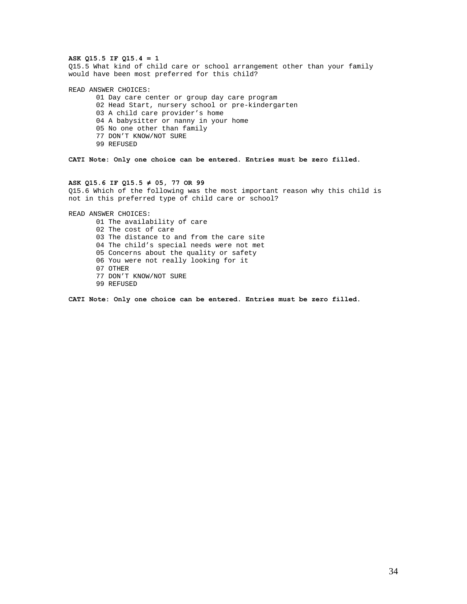## **ASK Q15.5 IF Q15.4 = 1**

Q15.5 What kind of child care or school arrangement other than your family would have been most preferred for this child?

READ ANSWER CHOICES:

- 01 Day care center or group day care program
- 02 Head Start, nursery school or pre-kindergarten
- 03 A child care provider's home
- 04 A babysitter or nanny in your home
- 05 No one other than family
- 77 DON'T KNOW/NOT SURE
- 99 REFUSED

**CATI Note: Only one choice can be entered. Entries must be zero filled.** 

#### **ASK Q15.6 IF Q15.5 ≠ 05, 77 OR 99**

Q15.6 Which of the following was the most important reason why this child is not in this preferred type of child care or school?

READ ANSWER CHOICES:

01 The availability of care 02 The cost of care 03 The distance to and from the care site 04 The child's special needs were not met 05 Concerns about the quality or safety 06 You were not really looking for it 07 OTHER 77 DON'T KNOW/NOT SURE 99 REFUSED

**CATI Note: Only one choice can be entered. Entries must be zero filled.**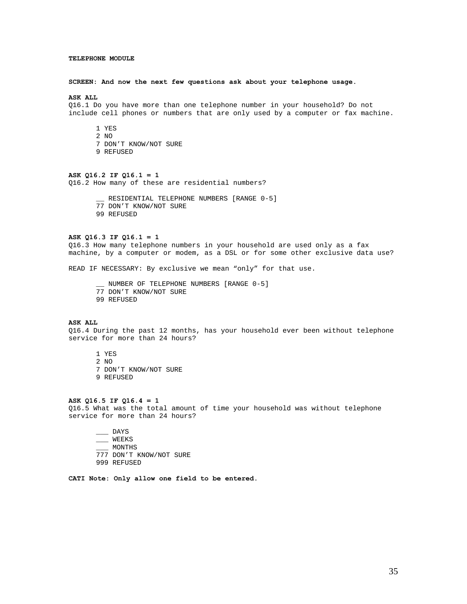### **TELEPHONE MODULE**

#### **SCREEN: And now the next few questions ask about your telephone usage.**

#### **ASK ALL**

Q16.1 Do you have more than one telephone number in your household? Do not include cell phones or numbers that are only used by a computer or fax machine.

1 YES 2 NO 7 DON'T KNOW/NOT SURE 9 REFUSED

**ASK Q16.2 IF Q16.1 = 1**  Q16.2 How many of these are residential numbers?

> \_\_ RESIDENTIAL TELEPHONE NUMBERS [RANGE 0-5] 77 DON'T KNOW/NOT SURE 99 REFUSED

#### **ASK Q16.3 IF Q16.1 = 1**

Q16.3 How many telephone numbers in your household are used only as a fax machine, by a computer or modem, as a DSL or for some other exclusive data use?

READ IF NECESSARY: By exclusive we mean "only" for that use.

\_\_ NUMBER OF TELEPHONE NUMBERS [RANGE 0-5] 77 DON'T KNOW/NOT SURE 99 REFUSED

#### **ASK ALL**

Q16.4 During the past 12 months, has your household ever been without telephone service for more than 24 hours?

1 YES 2 NO 7 DON'T KNOW/NOT SURE 9 REFUSED

#### **ASK Q16.5 IF Q16.4 = 1**

Q16.5 What was the total amount of time your household was without telephone service for more than 24 hours?

 $\overline{\phantom{0}}$  DAYS \_\_\_ WEEKS \_\_\_ MONTHS 777 DON'T KNOW/NOT SURE 999 REFUSED

**CATI Note: Only allow one field to be entered.**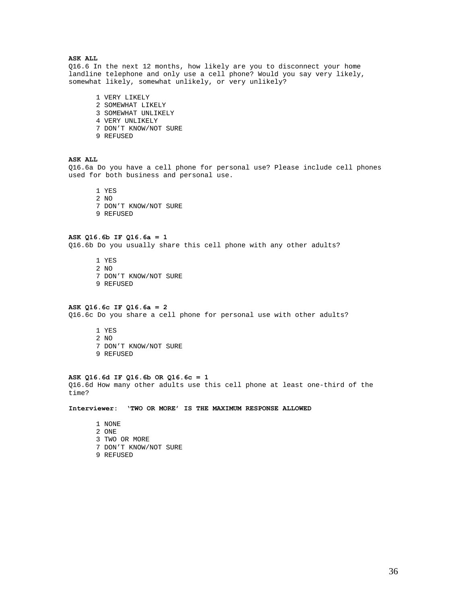# **ASK ALL**

Q16.6 In the next 12 months, how likely are you to disconnect your home landline telephone and only use a cell phone? Would you say very likely, somewhat likely, somewhat unlikely, or very unlikely?

1 VERY LIKELY 2 SOMEWHAT LIKELY 3 SOMEWHAT UNLIKELY 4 VERY UNLIKELY 7 DON'T KNOW/NOT SURE 9 REFUSED

# **ASK ALL**

Q16.6a Do you have a cell phone for personal use? Please include cell phones used for both business and personal use.

1 YES 2 NO 7 DON'T KNOW/NOT SURE 9 REFUSED

**ASK Q16.6b IF Q16.6a = 1**  Q16.6b Do you usually share this cell phone with any other adults?

1 YES 2 NO 7 DON'T KNOW/NOT SURE 9 REFUSED

#### **ASK Q16.6c IF Q16.6a = 2**

Q16.6c Do you share a cell phone for personal use with other adults?

1 YES 2 NO 7 DON'T KNOW/NOT SURE 9 REFUSED

### **ASK Q16.6d IF Q16.6b OR Q16.6c = 1**

Q16.6d How many other adults use this cell phone at least one-third of the time?

**Interviewer: 'TWO OR MORE' IS THE MAXIMUM RESPONSE ALLOWED** 

1 NONE 2 ONE 3 TWO OR MORE 7 DON'T KNOW/NOT SURE 9 REFUSED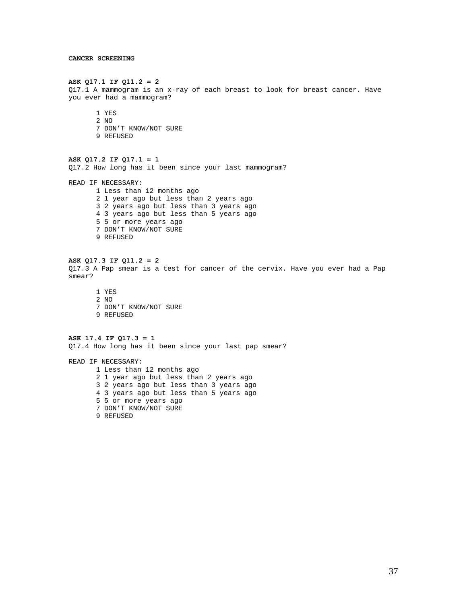#### **ASK Q17.1 IF Q11.2 = 2**

```
Q17.1 A mammogram is an x-ray of each breast to look for breast cancer. Have 
you ever had a mammogram?
```
- 1 YES 2 NO 7 DON'T KNOW/NOT SURE
- 9 REFUSED

# **ASK Q17.2 IF Q17.1 = 1**

Q17.2 How long has it been since your last mammogram?

READ IF NECESSARY:

1 Less than 12 months ago 2 1 year ago but less than 2 years ago 3 2 years ago but less than 3 years ago 4 3 years ago but less than 5 years ago 5 5 or more years ago 7 DON'T KNOW/NOT SURE 9 REFUSED

# **ASK Q17.3 IF Q11.2 = 2**

Q17.3 A Pap smear is a test for cancer of the cervix. Have you ever had a Pap smear?

1 YES 2 NO 7 DON'T KNOW/NOT SURE 9 REFUSED

### **ASK 17.4 IF Q17.3 = 1**  Q17.4 How long has it been since your last pap smear?

READ IF NECESSARY: 1 Less than 12 months ago 2 1 year ago but less than 2 years ago 3 2 years ago but less than 3 years ago 4 3 years ago but less than 5 years ago 5 5 or more years ago 7 DON'T KNOW/NOT SURE 9 REFUSED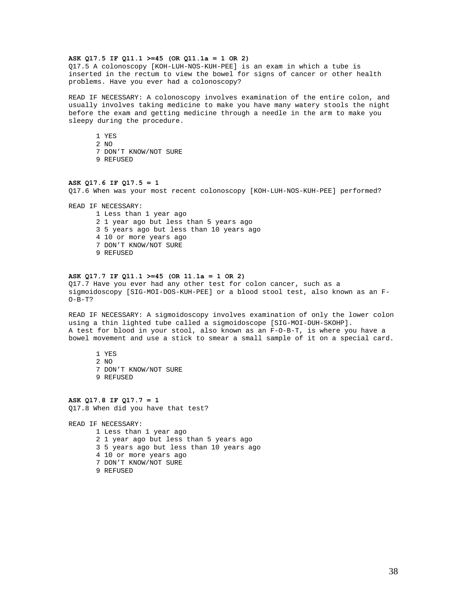## **ASK Q17.5 IF Q11.1 >=45 (OR Q11.1a = 1 OR 2)**

Q17.5 A colonoscopy [KOH-LUH-NOS-KUH-PEE] is an exam in which a tube is inserted in the rectum to view the bowel for signs of cancer or other health problems. Have you ever had a colonoscopy?

READ IF NECESSARY: A colonoscopy involves examination of the entire colon, and usually involves taking medicine to make you have many watery stools the night before the exam and getting medicine through a needle in the arm to make you sleepy during the procedure.

1 YES

- 2 NO
- 7 DON'T KNOW/NOT SURE
- 9 REFUSED

#### **ASK Q17.6 IF Q17.5 = 1**

Q17.6 When was your most recent colonoscopy [KOH-LUH-NOS-KUH-PEE] performed?

READ IF NECESSARY:

1 Less than 1 year ago 2 1 year ago but less than 5 years ago 3 5 years ago but less than 10 years ago 4 10 or more years ago 7 DON'T KNOW/NOT SURE 9 REFUSED

#### **ASK Q17.7 IF Q11.1 >=45 (OR 11.1a = 1 OR 2)**

Q17.7 Have you ever had any other test for colon cancer, such as a sigmoidoscopy [SIG-MOI-DOS-KUH-PEE] or a blood stool test, also known as an F- $O-B-T?$ 

READ IF NECESSARY: A sigmoidoscopy involves examination of only the lower colon using a thin lighted tube called a sigmoidoscope [SIG-MOI-DUH-SKOHP]. A test for blood in your stool, also known as an F-O-B-T, is where you have a bowel movement and use a stick to smear a small sample of it on a special card.

1 YES 2  $N<sub>O</sub>$ 7 DON'T KNOW/NOT SURE 9 REFUSED

**ASK Q17.8 IF Q17.7 = 1**  Q17.8 When did you have that test?

READ IF NECESSARY: 1 Less than 1 year ago 2 1 year ago but less than 5 years ago 3 5 years ago but less than 10 years ago 4 10 or more years ago 7 DON'T KNOW/NOT SURE 9 REFUSED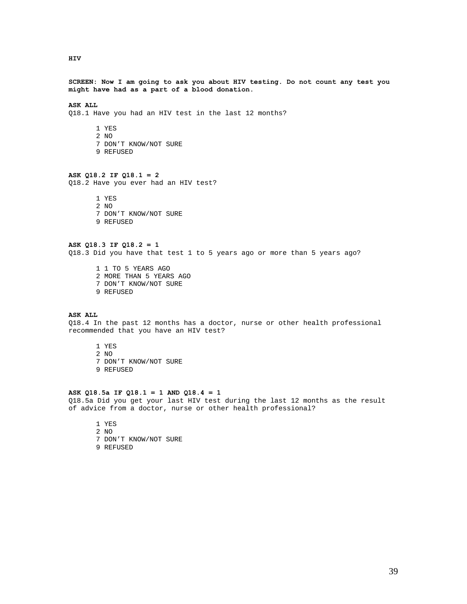**HIV** 

**SCREEN: Now I am going to ask you about HIV testing. Do not count any test you might have had as a part of a blood donation.** 

# **ASK ALL**

Q18.1 Have you had an HIV test in the last 12 months?

1 YES 2 NO 7 DON'T KNOW/NOT SURE 9 REFUSED

#### **ASK Q18.2 IF Q18.1 = 2**

Q18.2 Have you ever had an HIV test?

1 YES 2 NO 7 DON'T KNOW/NOT SURE 9 REFUSED

### **ASK Q18.3 IF Q18.2 = 1**  Q18.3 Did you have that test 1 to 5 years ago or more than 5 years ago?

1 1 TO 5 YEARS AGO 2 MORE THAN 5 YEARS AGO 7 DON'T KNOW/NOT SURE 9 REFUSED

# **ASK ALL**

Q18.4 In the past 12 months has a doctor, nurse or other health professional recommended that you have an HIV test?

1 YES 2 NO 7 DON'T KNOW/NOT SURE 9 REFUSED

#### **ASK Q18.5a IF Q18.1 = 1 AND Q18.4 = 1**

Q18.5a Did you get your last HIV test during the last 12 months as the result of advice from a doctor, nurse or other health professional?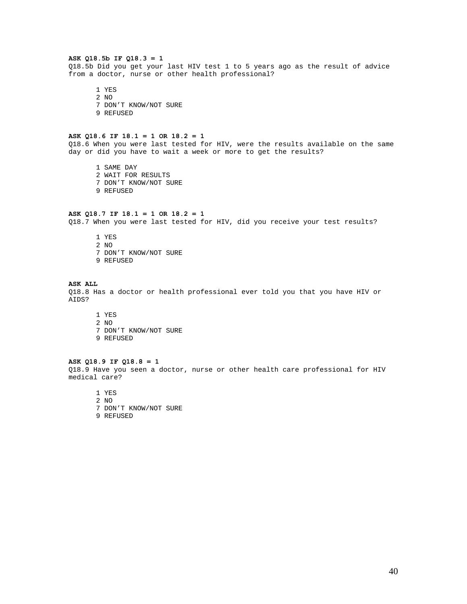### **ASK Q18.5b IF Q18.3 = 1**

Q18.5b Did you get your last HIV test 1 to 5 years ago as the result of advice from a doctor, nurse or other health professional?

1 YES 2 NO 7 DON'T KNOW/NOT SURE 9 REFUSED

### **ASK Q18.6 IF 18.1 = 1 OR 18.2 = 1**

Q18.6 When you were last tested for HIV, were the results available on the same day or did you have to wait a week or more to get the results?

1 SAME DAY 2 WAIT FOR RESULTS 7 DON'T KNOW/NOT SURE 9 REFUSED

# **ASK Q18.7 IF 18.1 = 1 OR 18.2 = 1**

Q18.7 When you were last tested for HIV, did you receive your test results?

1 YES 2 NO 7 DON'T KNOW/NOT SURE 9 REFUSED

#### **ASK ALL**

Q18.8 Has a doctor or health professional ever told you that you have HIV or AIDS?

- 1 YES 2 NO
- 7 DON'T KNOW/NOT SURE
- 9 REFUSED

# **ASK Q18.9 IF Q18.8 = 1**

Q18.9 Have you seen a doctor, nurse or other health care professional for HIV medical care?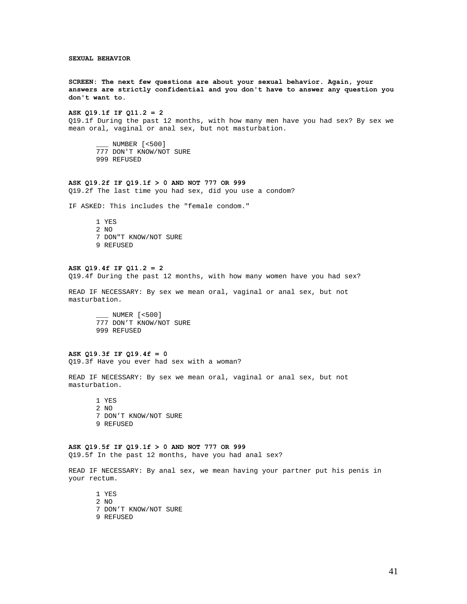**SEXUAL BEHAVIOR** 

**SCREEN: The next few questions are about your sexual behavior. Again, your answers are strictly confidential and you don't have to answer any question you don't want to.** 

### **ASK Q19.1f IF Q11.2 = 2**

Q19.1f During the past 12 months, with how many men have you had sex? By sex we mean oral, vaginal or anal sex, but not masturbation.

\_\_\_ NUMBER [<500] 777 DON'T KNOW/NOT SURE 999 REFUSED

### **ASK Q19.2f IF Q19.1f > 0 AND NOT 777 OR 999**

Q19.2f The last time you had sex, did you use a condom?

IF ASKED: This includes the "female condom."

1 YES 2 NO 7 DON"T KNOW/NOT SURE 9 REFUSED

### **ASK Q19.4f IF Q11.2 = 2**

Q19.4f During the past 12 months, with how many women have you had sex?

READ IF NECESSARY: By sex we mean oral, vaginal or anal sex, but not masturbation.

\_\_\_ NUMER [<500] 777 DON'T KNOW/NOT SURE 999 REFUSED

# **ASK Q19.3f IF Q19.4f = 0**

Q19.3f Have you ever had sex with a woman?

READ IF NECESSARY: By sex we mean oral, vaginal or anal sex, but not masturbation.

1 YES 2 NO 7 DON'T KNOW/NOT SURE 9 REFUSED

#### **ASK Q19.5f IF Q19.1f > 0 AND NOT 777 OR 999**

Q19.5f In the past 12 months, have you had anal sex?

READ IF NECESSARY: By anal sex, we mean having your partner put his penis in your rectum.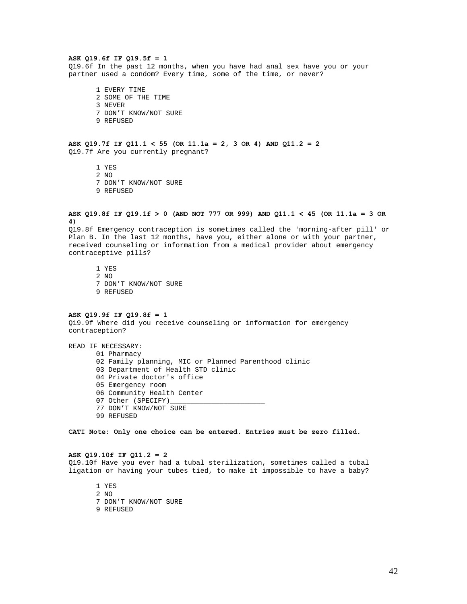## **ASK Q19.6f IF Q19.5f = 1**

Q19.6f In the past 12 months, when you have had anal sex have you or your partner used a condom? Every time, some of the time, or never?

1 EVERY TIME 2 SOME OF THE TIME 3 NEVER 7 DON'T KNOW/NOT SURE 9 REFUSED

# **ASK Q19.7f IF Q11.1 < 55 (OR 11.1a = 2, 3 OR 4) AND Q11.2 = 2**  Q19.7f Are you currently pregnant?

1 YES 2 NO 7 DON'T KNOW/NOT SURE 9 REFUSED

**ASK Q19.8f IF Q19.1f > 0 (AND NOT 777 OR 999) AND Q11.1 < 45 (OR 11.1a = 3 OR 4)** 

Q19.8f Emergency contraception is sometimes called the 'morning-after pill' or Plan B. In the last 12 months, have you, either alone or with your partner, received counseling or information from a medical provider about emergency contraceptive pills?

1 YES 2 NO 7 DON'T KNOW/NOT SURE 9 REFUSED

### **ASK Q19.9f IF Q19.8f = 1**

Q19.9f Where did you receive counseling or information for emergency contraception?

READ IF NECESSARY:

01 Pharmacy 02 Family planning, MIC or Planned Parenthood clinic 03 Department of Health STD clinic 04 Private doctor's office 05 Emergency room 06 Community Health Center 07 Other (SPECIFY) 77 DON'T KNOW/NOT SURE 99 REFUSED

**CATI Note: Only one choice can be entered. Entries must be zero filled.** 

#### **ASK Q19.10f IF Q11.2 = 2**

Q19.10f Have you ever had a tubal sterilization, sometimes called a tubal ligation or having your tubes tied, to make it impossible to have a baby?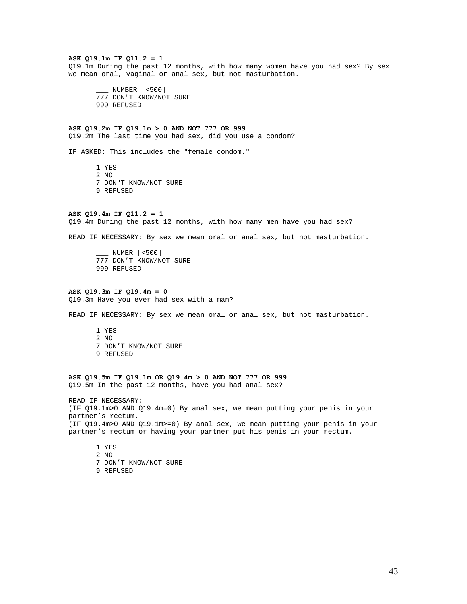#### **ASK Q19.1m IF Q11.2 = 1**

Q19.1m During the past 12 months, with how many women have you had sex? By sex we mean oral, vaginal or anal sex, but not masturbation.

\_\_\_ NUMBER [<500] 777 DON'T KNOW/NOT SURE 999 REFUSED

#### **ASK Q19.2m IF Q19.1m > 0 AND NOT 777 OR 999**

Q19.2m The last time you had sex, did you use a condom?

IF ASKED: This includes the "female condom."

1 YES 2 NO 7 DON"T KNOW/NOT SURE 9 REFUSED

### **ASK Q19.4m IF Q11.2 = 1**

Q19.4m During the past 12 months, with how many men have you had sex?

READ IF NECESSARY: By sex we mean oral or anal sex, but not masturbation.

\_\_\_ NUMER [<500] 777 DON'T KNOW/NOT SURE 999 REFUSED

#### **ASK Q19.3m IF Q19.4m = 0**

Q19.3m Have you ever had sex with a man?

READ IF NECESSARY: By sex we mean oral or anal sex, but not masturbation.

1 YES 2 NO 7 DON'T KNOW/NOT SURE 9 REFUSED

# **ASK Q19.5m IF Q19.1m OR Q19.4m > 0 AND NOT 777 OR 999**  Q19.5m In the past 12 months, have you had anal sex?

READ IF NECESSARY: (IF Q19.1m>0 AND Q19.4m=0) By anal sex, we mean putting your penis in your partner's rectum.

(IF Q19.4m>0 AND Q19.1m>=0) By anal sex, we mean putting your penis in your partner's rectum or having your partner put his penis in your rectum.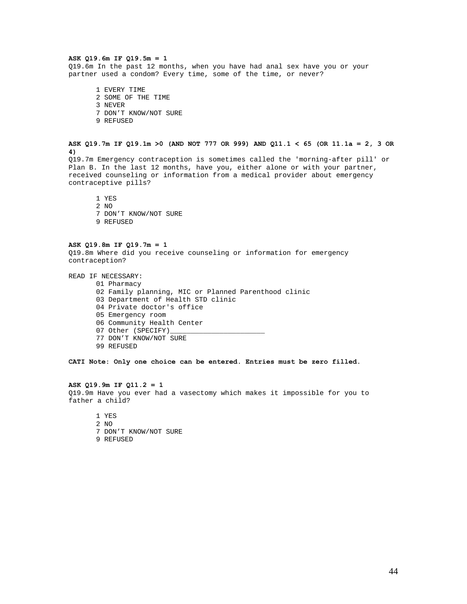### **ASK Q19.6m IF Q19.5m = 1**

Q19.6m In the past 12 months, when you have had anal sex have you or your partner used a condom? Every time, some of the time, or never?

1 EVERY TIME 2 SOME OF THE TIME 3 NEVER 7 DON'T KNOW/NOT SURE 9 REFUSED

# **ASK Q19.7m IF Q19.1m >0 (AND NOT 777 OR 999) AND Q11.1 < 65 (OR 11.1a = 2, 3 OR 4)**

Q19.7m Emergency contraception is sometimes called the 'morning-after pill' or Plan B. In the last 12 months, have you, either alone or with your partner, received counseling or information from a medical provider about emergency contraceptive pills?

1 YES

2 NO 7 DON'T KNOW/NOT SURE 9 REFUSED

#### **ASK Q19.8m IF Q19.7m = 1**

Q19.8m Where did you receive counseling or information for emergency contraception?

READ IF NECESSARY:

- 01 Pharmacy
	- 02 Family planning, MIC or Planned Parenthood clinic
- 03 Department of Health STD clinic
- 04 Private doctor's office
- 05 Emergency room
- 06 Community Health Center
- 07 Other (SPECIFY)\_
- 77 DON'T KNOW/NOT SURE
- 99 REFUSED

**CATI Note: Only one choice can be entered. Entries must be zero filled.** 

### **ASK Q19.9m IF Q11.2 = 1**

Q19.9m Have you ever had a vasectomy which makes it impossible for you to father a child?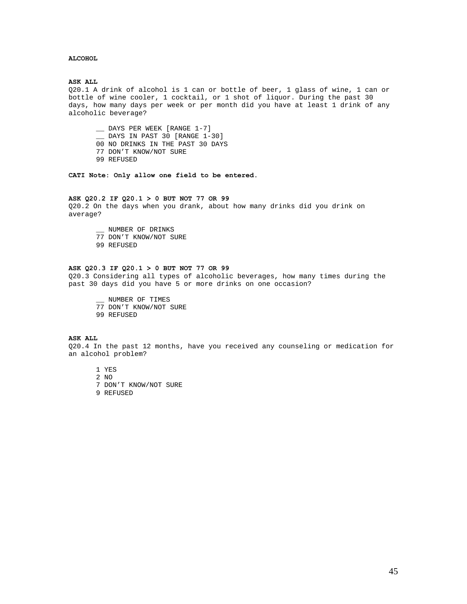# **ALCOHOL**

#### **ASK ALL**

Q20.1 A drink of alcohol is 1 can or bottle of beer, 1 glass of wine, 1 can or bottle of wine cooler, 1 cocktail, or 1 shot of liquor. During the past 30 days, how many days per week or per month did you have at least 1 drink of any alcoholic beverage?

\_\_ DAYS PER WEEK [RANGE 1-7] \_\_ DAYS IN PAST 30 [RANGE 1-30] 00 NO DRINKS IN THE PAST 30 DAYS 77 DON'T KNOW/NOT SURE 99 REFUSED

**CATI Note: Only allow one field to be entered.** 

### **ASK Q20.2 IF Q20.1 > 0 BUT NOT 77 OR 99**

Q20.2 On the days when you drank, about how many drinks did you drink on average?

\_\_ NUMBER OF DRINKS 77 DON'T KNOW/NOT SURE

99 REFUSED

# **ASK Q20.3 IF Q20.1 > 0 BUT NOT 77 OR 99**

Q20.3 Considering all types of alcoholic beverages, how many times during the past 30 days did you have 5 or more drinks on one occasion?

\_\_ NUMBER OF TIMES 77 DON'T KNOW/NOT SURE 99 REFUSED

#### **ASK ALL**

Q20.4 In the past 12 months, have you received any counseling or medication for an alcohol problem?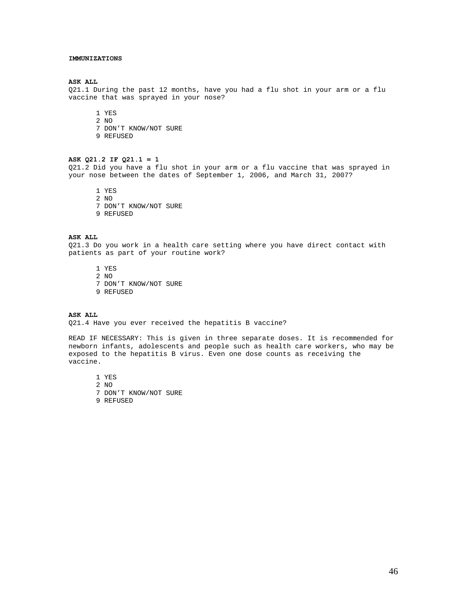### **IMMUNIZATIONS**

#### **ASK ALL**

Q21.1 During the past 12 months, have you had a flu shot in your arm or a flu vaccine that was sprayed in your nose?

1 YES 2 NO

- 7 DON'T KNOW/NOT SURE
- 9 REFUSED

# **ASK Q21.2 IF Q21.1 = 1**

Q21.2 Did you have a flu shot in your arm or a flu vaccine that was sprayed in your nose between the dates of September 1, 2006, and March 31, 2007?

1 YES 2 NO 7 DON'T KNOW/NOT SURE 9 REFUSED

#### **ASK ALL**

Q21.3 Do you work in a health care setting where you have direct contact with patients as part of your routine work?

1 YES 2 NO 7 DON'T KNOW/NOT SURE 9 REFUSED

# **ASK ALL**

Q21.4 Have you ever received the hepatitis B vaccine?

READ IF NECESSARY: This is given in three separate doses. It is recommended for newborn infants, adolescents and people such as health care workers, who may be exposed to the hepatitis B virus. Even one dose counts as receiving the vaccine.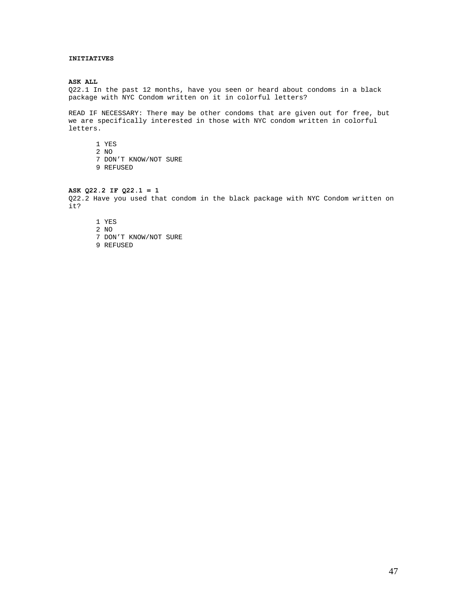## **INITIATIVES**

#### **ASK ALL**

Q22.1 In the past 12 months, have you seen or heard about condoms in a black package with NYC Condom written on it in colorful letters?

READ IF NECESSARY: There may be other condoms that are given out for free, but we are specifically interested in those with NYC condom written in colorful letters.

1 YES

2 NO

- 7 DON'T KNOW/NOT SURE
- 9 REFUSED

# **ASK Q22.2 IF Q22.1 = 1**

Q22.2 Have you used that condom in the black package with NYC Condom written on it?

1 YES

2 NO

- 7 DON'T KNOW/NOT SURE
- 9 REFUSED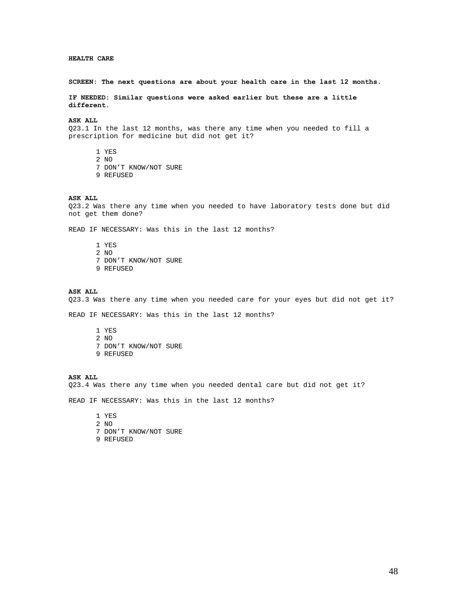## **HEALTH CARE**

#### **SCREEN: The next questions are about your health care in the last 12 months.**

**IF NEEDED: Similar questions were asked earlier but these are a little different.** 

**ASK ALL** 

Q23.1 In the last 12 months, was there any time when you needed to fill a prescription for medicine but did not get it?

1 YES 2 NO 7 DON'T KNOW/NOT SURE 9 REFUSED

#### **ASK ALL**

Q23.2 Was there any time when you needed to have laboratory tests done but did not get them done?

READ IF NECESSARY: Was this in the last 12 months?

1 YES 2 NO 7 DON'T KNOW/NOT SURE 9 REFUSED

#### **ASK ALL**

Q23.3 Was there any time when you needed care for your eyes but did not get it?

READ IF NECESSARY: Was this in the last 12 months?

1 YES 2 NO 7 DON'T KNOW/NOT SURE 9 REFUSED

## **ASK ALL**

Q23.4 Was there any time when you needed dental care but did not get it?

READ IF NECESSARY: Was this in the last 12 months?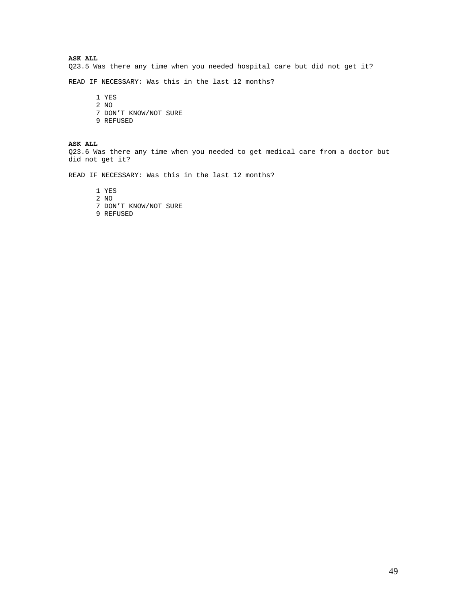**ASK ALL** 

Q23.5 Was there any time when you needed hospital care but did not get it?

READ IF NECESSARY: Was this in the last 12 months?

1 YES 2 NO 7 DON'T KNOW/NOT SURE 9 REFUSED

**ASK ALL** 

Q23.6 Was there any time when you needed to get medical care from a doctor but did not get it?

READ IF NECESSARY: Was this in the last 12 months?